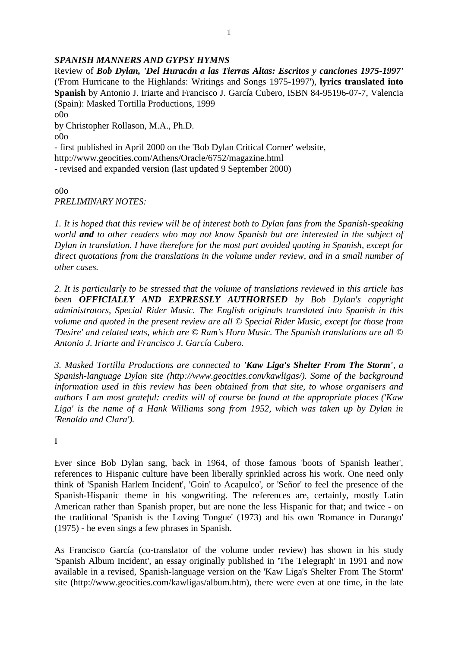# *SPANISH MANNERS AND GYPSY HYMNS*

Review of *Bob Dylan, 'Del Huracán a las Tierras Altas: Escritos y canciones 1975-1997'* ('From Hurricane to the Highlands: Writings and Songs 1975-1997'), **lyrics translated into Spanish** by Antonio J. Iriarte and Francisco J. García Cubero, ISBN 84-95196-07-7, Valencia (Spain): Masked Tortilla Productions, 1999 o0o

by Christopher Rollason, M.A., Ph.D. o0o - first published in April 2000 on the 'Bob Dylan Critical Corner' website,

http://www.geocities.com/Athens/Oracle/6752/magazine.html

- revised and expanded version (last updated 9 September 2000)

o0o *PRELIMINARY NOTES:* 

*1. It is hoped that this review will be of interest both to Dylan fans from the Spanish-speaking world and to other readers who may not know Spanish but are interested in the subject of Dylan in translation. I have therefore for the most part avoided quoting in Spanish, except for direct quotations from the translations in the volume under review, and in a small number of other cases.*

*2. It is particularly to be stressed that the volume of translations reviewed in this article has been OFFICIALLY AND EXPRESSLY AUTHORISED by Bob Dylan's copyright administrators, Special Rider Music. The English originals translated into Spanish in this volume and quoted in the present review are all © Special Rider Music, except for those from 'Desire' and related texts, which are © Ram's Horn Music. The Spanish translations are all © Antonio J. Iriarte and Francisco J. García Cubero.*

*3. Masked Tortilla Productions are connected to 'Kaw Liga's Shelter From The Storm', a Spanish-language Dylan site (http://www.geocities.com/kawligas/). Some of the background information used in this review has been obtained from that site, to whose organisers and authors I am most grateful: credits will of course be found at the appropriate places ('Kaw*  Liga' is the name of a Hank Williams song from 1952, which was taken up by Dylan in *'Renaldo and Clara').*

I

Ever since Bob Dylan sang, back in 1964, of those famous 'boots of Spanish leather', references to Hispanic culture have been liberally sprinkled across his work. One need only think of 'Spanish Harlem Incident', 'Goin' to Acapulco', or 'Señor' to feel the presence of the Spanish-Hispanic theme in his songwriting. The references are, certainly, mostly Latin American rather than Spanish proper, but are none the less Hispanic for that; and twice - on the traditional 'Spanish is the Loving Tongue' (1973) and his own 'Romance in Durango' (1975) - he even sings a few phrases in Spanish.

As Francisco García (co-translator of the volume under review) has shown in his study 'Spanish Album Incident', an essay originally published in 'The Telegraph' in 1991 and now available in a revised, Spanish-language version on the 'Kaw Liga's Shelter From The Storm' site (http://www.geocities.com/kawligas/album.htm), there were even at one time, in the late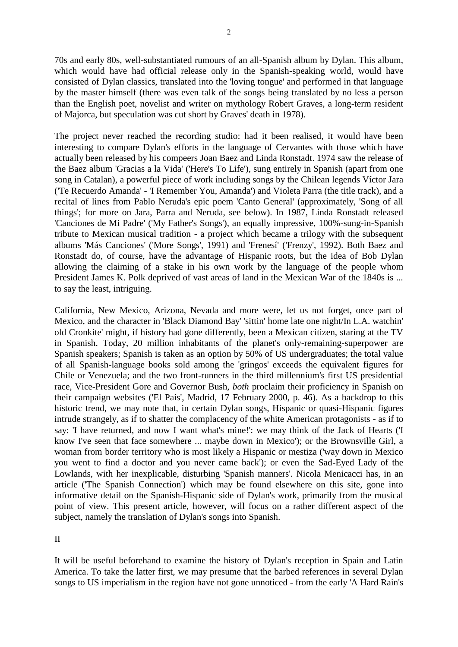70s and early 80s, well-substantiated rumours of an all-Spanish album by Dylan. This album, which would have had official release only in the Spanish-speaking world, would have consisted of Dylan classics, translated into the 'loving tongue' and performed in that language by the master himself (there was even talk of the songs being translated by no less a person than the English poet, novelist and writer on mythology Robert Graves, a long-term resident of Majorca, but speculation was cut short by Graves' death in 1978).

The project never reached the recording studio: had it been realised, it would have been interesting to compare Dylan's efforts in the language of Cervantes with those which have actually been released by his compeers Joan Baez and Linda Ronstadt. 1974 saw the release of the Baez album 'Gracias a la Vida' ('Here's To Life'), sung entirely in Spanish (apart from one song in Catalan), a powerful piece of work including songs by the Chilean legends Víctor Jara ('Te Recuerdo Amanda' - 'I Remember You, Amanda') and Violeta Parra (the title track), and a recital of lines from Pablo Neruda's epic poem 'Canto General' (approximately, 'Song of all things'; for more on Jara, Parra and Neruda, see below). In 1987, Linda Ronstadt released 'Canciones de Mi Padre' ('My Father's Songs'), an equally impressive, 100%-sung-in-Spanish tribute to Mexican musical tradition - a project which became a trilogy with the subsequent albums 'Más Canciones' ('More Songs', 1991) and 'Frenesí' ('Frenzy', 1992). Both Baez and Ronstadt do, of course, have the advantage of Hispanic roots, but the idea of Bob Dylan allowing the claiming of a stake in his own work by the language of the people whom President James K. Polk deprived of vast areas of land in the Mexican War of the 1840s is ... to say the least, intriguing.

California, New Mexico, Arizona, Nevada and more were, let us not forget, once part of Mexico, and the character in 'Black Diamond Bay' 'sittin' home late one night/In L.A. watchin' old Cronkite' might, if history had gone differently, been a Mexican citizen, staring at the TV in Spanish. Today, 20 million inhabitants of the planet's only-remaining-superpower are Spanish speakers; Spanish is taken as an option by 50% of US undergraduates; the total value of all Spanish-language books sold among the 'gringos' exceeds the equivalent figures for Chile or Venezuela; and the two front-runners in the third millennium's first US presidential race, Vice-President Gore and Governor Bush, *both* proclaim their proficiency in Spanish on their campaign websites ('El País', Madrid, 17 February 2000, p. 46). As a backdrop to this historic trend, we may note that, in certain Dylan songs, Hispanic or quasi-Hispanic figures intrude strangely, as if to shatter the complacency of the white American protagonists - as if to say: 'I have returned, and now I want what's mine!': we may think of the Jack of Hearts ('I know I've seen that face somewhere ... maybe down in Mexico'); or the Brownsville Girl, a woman from border territory who is most likely a Hispanic or mestiza ('way down in Mexico you went to find a doctor and you never came back'); or even the Sad-Eyed Lady of the Lowlands, with her inexplicable, disturbing 'Spanish manners'. Nicola Menicacci has, in an article ('The Spanish Connection') which may be found elsewhere on this site, gone into informative detail on the Spanish-Hispanic side of Dylan's work, primarily from the musical point of view. This present article, however, will focus on a rather different aspect of the subject, namely the translation of Dylan's songs into Spanish.

II

It will be useful beforehand to examine the history of Dylan's reception in Spain and Latin America. To take the latter first, we may presume that the barbed references in several Dylan songs to US imperialism in the region have not gone unnoticed - from the early 'A Hard Rain's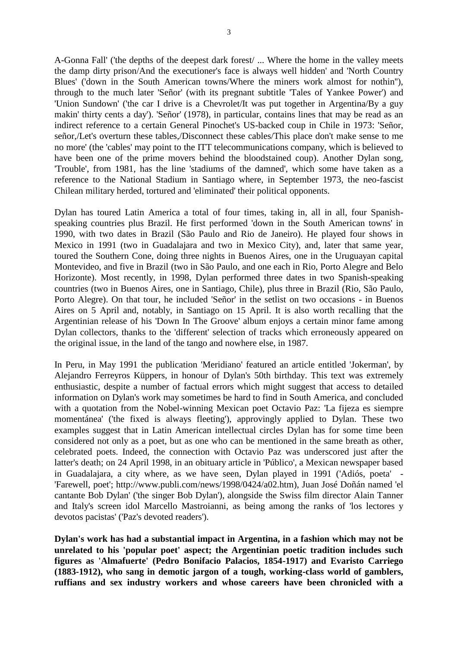A-Gonna Fall' ('the depths of the deepest dark forest/ ... Where the home in the valley meets the damp dirty prison/And the executioner's face is always well hidden' and 'North Country Blues' ('down in the South American towns/Where the miners work almost for nothin''), through to the much later 'Señor' (with its pregnant subtitle 'Tales of Yankee Power') and 'Union Sundown' ('the car I drive is a Chevrolet/It was put together in Argentina/By a guy makin' thirty cents a day'). 'Señor' (1978), in particular, contains lines that may be read as an indirect reference to a certain General Pinochet's US-backed coup in Chile in 1973: 'Señor, señor,/Let's overturn these tables,/Disconnect these cables/This place don't make sense to me no more' (the 'cables' may point to the ITT telecommunications company, which is believed to have been one of the prime movers behind the bloodstained coup). Another Dylan song, 'Trouble', from 1981, has the line 'stadiums of the damned', which some have taken as a reference to the National Stadium in Santiago where, in September 1973, the neo-fascist Chilean military herded, tortured and 'eliminated' their political opponents.

Dylan has toured Latin America a total of four times, taking in, all in all, four Spanishspeaking countries plus Brazil. He first performed 'down in the South American towns' in 1990, with two dates in Brazil (São Paulo and Rio de Janeiro). He played four shows in Mexico in 1991 (two in Guadalajara and two in Mexico City), and, later that same year, toured the Southern Cone, doing three nights in Buenos Aires, one in the Uruguayan capital Montevideo, and five in Brazil (two in São Paulo, and one each in Rio, Porto Alegre and Belo Horizonte). Most recently, in 1998, Dylan performed three dates in two Spanish-speaking countries (two in Buenos Aires, one in Santiago, Chile), plus three in Brazil (Rio, São Paulo, Porto Alegre). On that tour, he included 'Señor' in the setlist on two occasions - in Buenos Aires on 5 April and, notably, in Santiago on 15 April. It is also worth recalling that the Argentinian release of his 'Down In The Groove' album enjoys a certain minor fame among Dylan collectors, thanks to the 'different' selection of tracks which erroneously appeared on the original issue, in the land of the tango and nowhere else, in 1987.

In Peru, in May 1991 the publication 'Meridiano' featured an article entitled 'Jokerman', by Alejandro Ferreyros Küppers, in honour of Dylan's 50th birthday. This text was extremely enthusiastic, despite a number of factual errors which might suggest that access to detailed information on Dylan's work may sometimes be hard to find in South America, and concluded with a quotation from the Nobel-winning Mexican poet Octavio Paz: 'La fijeza es siempre momentánea' ('the fixed is always fleeting'), approvingly applied to Dylan. These two examples suggest that in Latin American intellectual circles Dylan has for some time been considered not only as a poet, but as one who can be mentioned in the same breath as other, celebrated poets. Indeed, the connection with Octavio Paz was underscored just after the latter's death; on 24 April 1998, in an obituary article in 'Público', a Mexican newspaper based in Guadalajara, a city where, as we have seen, Dylan played in 1991 ('Adiós, poeta' - 'Farewell, poet'; http://www.publi.com/news/1998/0424/a02.htm), Juan José Doñán named 'el cantante Bob Dylan' ('the singer Bob Dylan'), alongside the Swiss film director Alain Tanner and Italy's screen idol Marcello Mastroianni, as being among the ranks of 'los lectores y devotos pacistas' ('Paz's devoted readers').

**Dylan's work has had a substantial impact in Argentina, in a fashion which may not be unrelated to his 'popular poet' aspect; the Argentinian poetic tradition includes such figures as 'Almafuerte' (Pedro Bonifacio Palacios, 1854-1917) and Evaristo Carriego (1883-1912), who sang in demotic jargon of a tough, working-class world of gamblers, ruffians and sex industry workers and whose careers have been chronicled with a**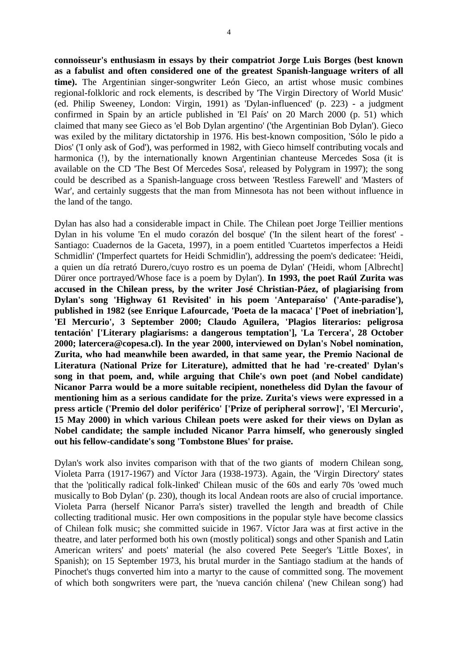**connoisseur's enthusiasm in essays by their compatriot Jorge Luis Borges (best known as a fabulist and often considered one of the greatest Spanish-language writers of all time).** The Argentinian singer-songwriter León Gieco, an artist whose music combines regional-folkloric and rock elements, is described by 'The Virgin Directory of World Music' (ed. Philip Sweeney, London: Virgin, 1991) as 'Dylan-influenced' (p. 223) - a judgment confirmed in Spain by an article published in 'El País' on 20 March 2000 (p. 51) which claimed that many see Gieco as 'el Bob Dylan argentino' ('the Argentinian Bob Dylan'). Gieco was exiled by the military dictatorship in 1976. His best-known composition, 'Sólo le pido a Dios' ('I only ask of God'), was performed in 1982, with Gieco himself contributing vocals and harmonica (!), by the internationally known Argentinian chanteuse Mercedes Sosa (it is available on the CD 'The Best Of Mercedes Sosa', released by Polygram in 1997); the song could be described as a Spanish-language cross between 'Restless Farewell' and 'Masters of War', and certainly suggests that the man from Minnesota has not been without influence in the land of the tango.

Dylan has also had a considerable impact in Chile. The Chilean poet Jorge Teillier mentions Dylan in his volume 'En el mudo corazón del bosque' ('In the silent heart of the forest' - Santiago: Cuadernos de la Gaceta, 1997), in a poem entitled 'Cuartetos imperfectos a Heidi Schmidlin' ('Imperfect quartets for Heidi Schmidlin'), addressing the poem's dedicatee: 'Heidi, a quien un día retrató Durero,/cuyo rostro es un poema de Dylan' ('Heidi, whom [Albrecht] Dürer once portrayed/Whose face is a poem by Dylan'). **In 1993, the poet Raúl Zurita was accused in the Chilean press, by the writer José Christian-Páez, of plagiarising from Dylan's song 'Highway 61 Revisited' in his poem 'Anteparaíso' ('Ante-paradise'), published in 1982 (see Enrique Lafourcade, 'Poeta de la macaca' ['Poet of inebriation'], 'El Mercurio', 3 September 2000; Claudo Aguilera, 'Plagios literarios: peligrosa tentación' ['Literary plagiarisms: a dangerous temptation'], 'La Tercera', 28 October 2000; latercera@copesa.cl). In the year 2000, interviewed on Dylan's Nobel nomination, Zurita, who had meanwhile been awarded, in that same year, the Premio Nacional de Literatura (National Prize for Literature), admitted that he had 're-created' Dylan's song in that poem, and, while arguing that Chile's own poet (and Nobel candidate) Nicanor Parra would be a more suitable recipient, nonetheless did Dylan the favour of mentioning him as a serious candidate for the prize. Zurita's views were expressed in a press article ('Premio del dolor periférico' ['Prize of peripheral sorrow]', 'El Mercurio', 15 May 2000) in which various Chilean poets were asked for their views on Dylan as Nobel candidate; the sample included Nicanor Parra himself, who generously singled out his fellow-candidate's song 'Tombstone Blues' for praise.**

Dylan's work also invites comparison with that of the two giants of modern Chilean song, Violeta Parra (1917-1967) and Víctor Jara (1938-1973). Again, the 'Virgin Directory' states that the 'politically radical folk-linked' Chilean music of the 60s and early 70s 'owed much musically to Bob Dylan' (p. 230), though its local Andean roots are also of crucial importance. Violeta Parra (herself Nicanor Parra's sister) travelled the length and breadth of Chile collecting traditional music. Her own compositions in the popular style have become classics of Chilean folk music; she committed suicide in 1967. Víctor Jara was at first active in the theatre, and later performed both his own (mostly political) songs and other Spanish and Latin American writers' and poets' material (he also covered Pete Seeger's 'Little Boxes', in Spanish); on 15 September 1973, his brutal murder in the Santiago stadium at the hands of Pinochet's thugs converted him into a martyr to the cause of committed song. The movement of which both songwriters were part, the 'nueva canción chilena' ('new Chilean song') had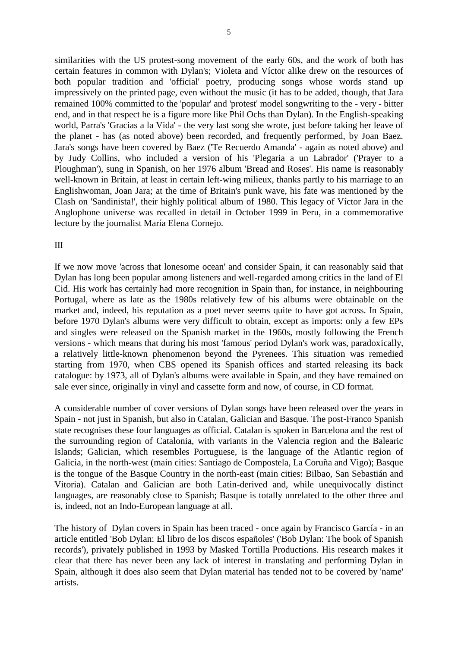similarities with the US protest-song movement of the early 60s, and the work of both has certain features in common with Dylan's; Violeta and Víctor alike drew on the resources of both popular tradition and 'official' poetry, producing songs whose words stand up impressively on the printed page, even without the music (it has to be added, though, that Jara remained 100% committed to the 'popular' and 'protest' model songwriting to the - very - bitter end, and in that respect he is a figure more like Phil Ochs than Dylan). In the English-speaking world, Parra's 'Gracias a la Vida' - the very last song she wrote, just before taking her leave of the planet - has (as noted above) been recorded, and frequently performed, by Joan Baez. Jara's songs have been covered by Baez ('Te Recuerdo Amanda' - again as noted above) and by Judy Collins, who included a version of his 'Plegaria a un Labrador' ('Prayer to a Ploughman'), sung in Spanish, on her 1976 album 'Bread and Roses'. His name is reasonably well-known in Britain, at least in certain left-wing milieux, thanks partly to his marriage to an Englishwoman, Joan Jara; at the time of Britain's punk wave, his fate was mentioned by the Clash on 'Sandinista!', their highly political album of 1980. This legacy of Víctor Jara in the Anglophone universe was recalled in detail in October 1999 in Peru, in a commemorative lecture by the journalist María Elena Cornejo.

#### III

If we now move 'across that lonesome ocean' and consider Spain, it can reasonably said that Dylan has long been popular among listeners and well-regarded among critics in the land of El Cid. His work has certainly had more recognition in Spain than, for instance, in neighbouring Portugal, where as late as the 1980s relatively few of his albums were obtainable on the market and, indeed, his reputation as a poet never seems quite to have got across. In Spain, before 1970 Dylan's albums were very difficult to obtain, except as imports: only a few EPs and singles were released on the Spanish market in the 1960s, mostly following the French versions - which means that during his most 'famous' period Dylan's work was, paradoxically, a relatively little-known phenomenon beyond the Pyrenees. This situation was remedied starting from 1970, when CBS opened its Spanish offices and started releasing its back catalogue: by 1973, all of Dylan's albums were available in Spain, and they have remained on sale ever since, originally in vinyl and cassette form and now, of course, in CD format.

A considerable number of cover versions of Dylan songs have been released over the years in Spain - not just in Spanish, but also in Catalan, Galician and Basque. The post-Franco Spanish state recognises these four languages as official. Catalan is spoken in Barcelona and the rest of the surrounding region of Catalonia, with variants in the Valencia region and the Balearic Islands; Galician, which resembles Portuguese, is the language of the Atlantic region of Galicia, in the north-west (main cities: Santiago de Compostela, La Coruña and Vigo); Basque is the tongue of the Basque Country in the north-east (main cities: Bilbao, San Sebastián and Vitoria). Catalan and Galician are both Latin-derived and, while unequivocally distinct languages, are reasonably close to Spanish; Basque is totally unrelated to the other three and is, indeed, not an Indo-European language at all.

The history of Dylan covers in Spain has been traced - once again by Francisco García - in an article entitled 'Bob Dylan: El libro de los discos españoles' ('Bob Dylan: The book of Spanish records'), privately published in 1993 by Masked Tortilla Productions. His research makes it clear that there has never been any lack of interest in translating and performing Dylan in Spain, although it does also seem that Dylan material has tended not to be covered by 'name' artists.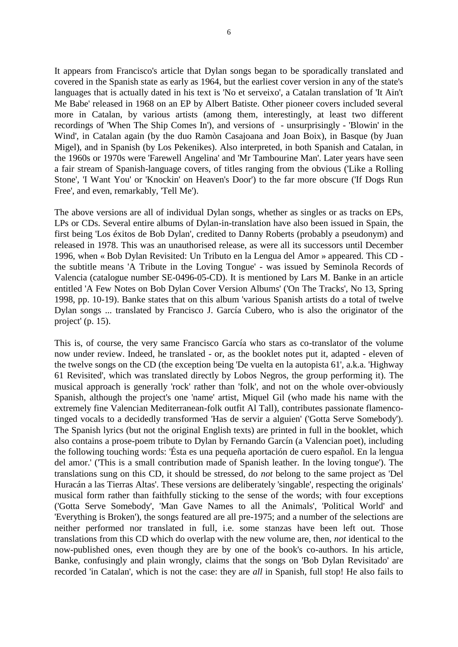It appears from Francisco's article that Dylan songs began to be sporadically translated and covered in the Spanish state as early as 1964, but the earliest cover version in any of the state's languages that is actually dated in his text is 'No et serveixo', a Catalan translation of 'It Ain't Me Babe' released in 1968 on an EP by Albert Batiste. Other pioneer covers included several more in Catalan, by various artists (among them, interestingly, at least two different recordings of 'When The Ship Comes In'), and versions of - unsurprisingly - 'Blowin' in the Wind', in Catalan again (by the duo Ramòn Casajoana and Joan Boix), in Basque (by Juan Migel), and in Spanish (by Los Pekenikes). Also interpreted, in both Spanish and Catalan, in the 1960s or 1970s were 'Farewell Angelina' and 'Mr Tambourine Man'. Later years have seen a fair stream of Spanish-language covers, of titles ranging from the obvious ('Like a Rolling Stone', 'I Want You' or 'Knockin' on Heaven's Door') to the far more obscure ('If Dogs Run Free', and even, remarkably, 'Tell Me').

The above versions are all of individual Dylan songs, whether as singles or as tracks on EPs, LPs or CDs. Several entire albums of Dylan-in-translation have also been issued in Spain, the first being 'Los éxitos de Bob Dylan', credited to Danny Roberts (probably a pseudonym) and released in 1978. This was an unauthorised release, as were all its successors until December 1996, when « Bob Dylan Revisited: Un Tributo en la Lengua del Amor » appeared. This CD the subtitle means 'A Tribute in the Loving Tongue' - was issued by Seminola Records of Valencia (catalogue number SE-0496-05-CD). It is mentioned by Lars M. Banke in an article entitled 'A Few Notes on Bob Dylan Cover Version Albums' ('On The Tracks', No 13, Spring 1998, pp. 10-19). Banke states that on this album 'various Spanish artists do a total of twelve Dylan songs ... translated by Francisco J. García Cubero, who is also the originator of the project' (p. 15).

This is, of course, the very same Francisco García who stars as co-translator of the volume now under review. Indeed, he translated - or, as the booklet notes put it, adapted - eleven of the twelve songs on the CD (the exception being 'De vuelta en la autopista 61', a.k.a. 'Highway 61 Revisited', which was translated directly by Lobos Negros, the group performing it). The musical approach is generally 'rock' rather than 'folk', and not on the whole over-obviously Spanish, although the project's one 'name' artist, Miquel Gil (who made his name with the extremely fine Valencian Mediterranean-folk outfit Al Tall), contributes passionate flamencotinged vocals to a decidedly transformed 'Has de servir a alguien' ('Gotta Serve Somebody'). The Spanish lyrics (but not the original English texts) are printed in full in the booklet, which also contains a prose-poem tribute to Dylan by Fernando Garcín (a Valencian poet), including the following touching words: 'Ésta es una pequeña aportación de cuero español. En la lengua del amor.' ('This is a small contribution made of Spanish leather. In the loving tongue'). The translations sung on this CD, it should be stressed, do *not* belong to the same project as 'Del Huracán a las Tierras Altas'. These versions are deliberately 'singable', respecting the originals' musical form rather than faithfully sticking to the sense of the words; with four exceptions ('Gotta Serve Somebody', 'Man Gave Names to all the Animals', 'Political World' and 'Everything is Broken'), the songs featured are all pre-1975; and a number of the selections are neither performed nor translated in full, i.e. some stanzas have been left out. Those translations from this CD which do overlap with the new volume are, then, *not* identical to the now-published ones, even though they are by one of the book's co-authors. In his article, Banke, confusingly and plain wrongly, claims that the songs on 'Bob Dylan Revisitado' are recorded 'in Catalan', which is not the case: they are *all* in Spanish, full stop! He also fails to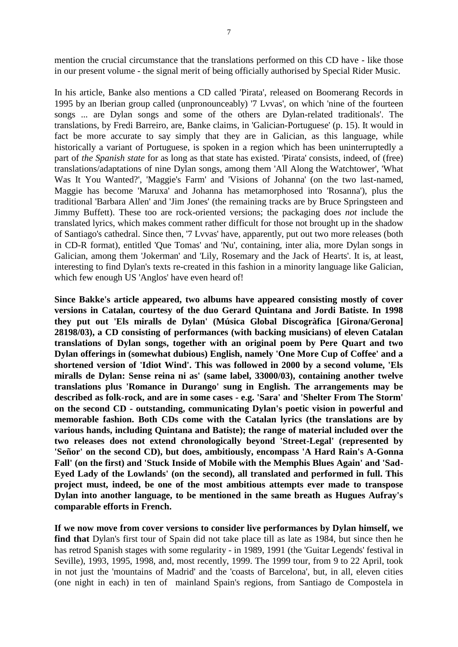mention the crucial circumstance that the translations performed on this CD have - like those in our present volume - the signal merit of being officially authorised by Special Rider Music.

In his article, Banke also mentions a CD called 'Pirata', released on Boomerang Records in 1995 by an Iberian group called (unpronounceably) '7 Lvvas', on which 'nine of the fourteen songs ... are Dylan songs and some of the others are Dylan-related traditionals'. The translations, by Fredi Barreiro, are, Banke claims, in 'Galician-Portuguese' (p. 15). It would in fact be more accurate to say simply that they are in Galician, as this language, while historically a variant of Portuguese, is spoken in a region which has been uninterruptedly a part of *the Spanish state* for as long as that state has existed. 'Pirata' consists, indeed, of (free) translations/adaptations of nine Dylan songs, among them 'All Along the Watchtower', 'What Was It You Wanted?', 'Maggie's Farm' and 'Visions of Johanna' (on the two last-named, Maggie has become 'Maruxa' and Johanna has metamorphosed into 'Rosanna'), plus the traditional 'Barbara Allen' and 'Jim Jones' (the remaining tracks are by Bruce Springsteen and Jimmy Buffett). These too are rock-oriented versions; the packaging does *not* include the translated lyrics, which makes comment rather difficult for those not brought up in the shadow of Santiago's cathedral. Since then, '7 Lvvas' have, apparently, put out two more releases (both in CD-R format), entitled 'Que Tomas' and 'Nu', containing, inter alia, more Dylan songs in Galician, among them 'Jokerman' and 'Lily, Rosemary and the Jack of Hearts'. It is, at least, interesting to find Dylan's texts re-created in this fashion in a minority language like Galician, which few enough US 'Anglos' have even heard of!

**Since Bakke's article appeared, two albums have appeared consisting mostly of cover versions in Catalan, courtesy of the duo Gerard Quintana and Jordi Batiste. In 1998 they put out 'Els miralls de Dylan' (Música Global Discogràfica [Girona/Gerona] 28198/03), a CD consisting of performances (with backing musicians) of eleven Catalan translations of Dylan songs, together with an original poem by Pere Quart and two Dylan offerings in (somewhat dubious) English, namely 'One More Cup of Coffee' and a shortened version of 'Idiot Wind'. This was followed in 2000 by a second volume, 'Els miralls de Dylan: Sense reina ni as' (same label, 33000/03), containing another twelve translations plus 'Romance in Durango' sung in English. The arrangements may be described as folk-rock, and are in some cases - e.g. 'Sara' and 'Shelter From The Storm' on the second CD - outstanding, communicating Dylan's poetic vision in powerful and memorable fashion. Both CDs come with the Catalan lyrics (the translations are by various hands, including Quintana and Batiste); the range of material included over the two releases does not extend chronologically beyond 'Street-Legal' (represented by 'Señor' on the second CD), but does, ambitiously, encompass 'A Hard Rain's A-Gonna Fall' (on the first) and 'Stuck Inside of Mobile with the Memphis Blues Again' and 'Sad-Eyed Lady of the Lowlands' (on the second), all translated and performed in full. This project must, indeed, be one of the most ambitious attempts ever made to transpose Dylan into another language, to be mentioned in the same breath as Hugues Aufray's comparable efforts in French.**

**If we now move from cover versions to consider live performances by Dylan himself, we find that** Dylan's first tour of Spain did not take place till as late as 1984, but since then he has retrod Spanish stages with some regularity - in 1989, 1991 (the 'Guitar Legends' festival in Seville), 1993, 1995, 1998, and, most recently, 1999. The 1999 tour, from 9 to 22 April, took in not just the 'mountains of Madrid' and the 'coasts of Barcelona', but, in all, eleven cities (one night in each) in ten of mainland Spain's regions, from Santiago de Compostela in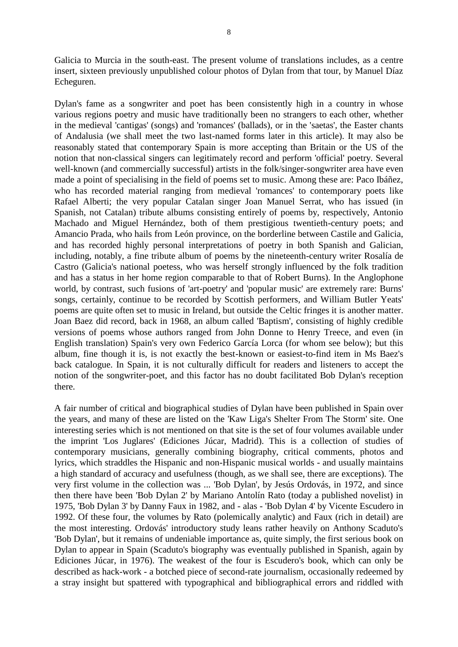Galicia to Murcia in the south-east. The present volume of translations includes, as a centre insert, sixteen previously unpublished colour photos of Dylan from that tour, by Manuel Díaz Echeguren.

Dylan's fame as a songwriter and poet has been consistently high in a country in whose various regions poetry and music have traditionally been no strangers to each other, whether in the medieval 'cantigas' (songs) and 'romances' (ballads), or in the 'saetas', the Easter chants of Andalusia (we shall meet the two last-named forms later in this article). It may also be reasonably stated that contemporary Spain is more accepting than Britain or the US of the notion that non-classical singers can legitimately record and perform 'official' poetry. Several well-known (and commercially successful) artists in the folk/singer-songwriter area have even made a point of specialising in the field of poems set to music. Among these are: Paco Ibáñez, who has recorded material ranging from medieval 'romances' to contemporary poets like Rafael Alberti; the very popular Catalan singer Joan Manuel Serrat, who has issued (in Spanish, not Catalan) tribute albums consisting entirely of poems by, respectively, Antonio Machado and Miguel Hernández, both of them prestigious twentieth-century poets; and Amancio Prada, who hails from León province, on the borderline between Castile and Galicia, and has recorded highly personal interpretations of poetry in both Spanish and Galician, including, notably, a fine tribute album of poems by the nineteenth-century writer Rosalía de Castro (Galicia's national poetess, who was herself strongly influenced by the folk tradition and has a status in her home region comparable to that of Robert Burns). In the Anglophone world, by contrast, such fusions of 'art-poetry' and 'popular music' are extremely rare: Burns' songs, certainly, continue to be recorded by Scottish performers, and William Butler Yeats' poems are quite often set to music in Ireland, but outside the Celtic fringes it is another matter. Joan Baez did record, back in 1968, an album called 'Baptism', consisting of highly credible versions of poems whose authors ranged from John Donne to Henry Treece, and even (in English translation) Spain's very own Federico García Lorca (for whom see below); but this album, fine though it is, is not exactly the best-known or easiest-to-find item in Ms Baez's back catalogue. In Spain, it is not culturally difficult for readers and listeners to accept the notion of the songwriter-poet, and this factor has no doubt facilitated Bob Dylan's reception there.

A fair number of critical and biographical studies of Dylan have been published in Spain over the years, and many of these are listed on the 'Kaw Liga's Shelter From The Storm' site. One interesting series which is not mentioned on that site is the set of four volumes available under the imprint 'Los Juglares' (Ediciones Júcar, Madrid). This is a collection of studies of contemporary musicians, generally combining biography, critical comments, photos and lyrics, which straddles the Hispanic and non-Hispanic musical worlds - and usually maintains a high standard of accuracy and usefulness (though, as we shall see, there are exceptions). The very first volume in the collection was ... 'Bob Dylan', by Jesús Ordovás, in 1972, and since then there have been 'Bob Dylan 2' by Mariano Antolín Rato (today a published novelist) in 1975, 'Bob Dylan 3' by Danny Faux in 1982, and - alas - 'Bob Dylan 4' by Vicente Escudero in 1992. Of these four, the volumes by Rato (polemically analytic) and Faux (rich in detail) are the most interesting. Ordovás' introductory study leans rather heavily on Anthony Scaduto's 'Bob Dylan', but it remains of undeniable importance as, quite simply, the first serious book on Dylan to appear in Spain (Scaduto's biography was eventually published in Spanish, again by Ediciones Júcar, in 1976). The weakest of the four is Escudero's book, which can only be described as hack-work - a botched piece of second-rate journalism, occasionally redeemed by a stray insight but spattered with typographical and bibliographical errors and riddled with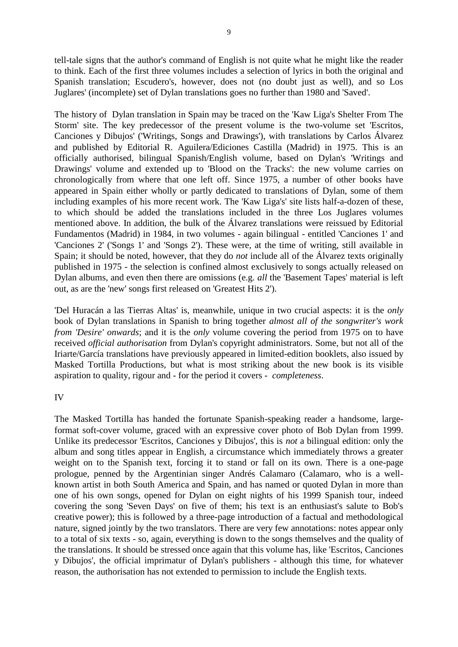tell-tale signs that the author's command of English is not quite what he might like the reader to think. Each of the first three volumes includes a selection of lyrics in both the original and Spanish translation; Escudero's, however, does not (no doubt just as well), and so Los Juglares' (incomplete) set of Dylan translations goes no further than 1980 and 'Saved'.

The history of Dylan translation in Spain may be traced on the 'Kaw Liga's Shelter From The Storm' site. The key predecessor of the present volume is the two-volume set 'Escritos, Canciones y Dibujos' ('Writings, Songs and Drawings'), with translations by Carlos Álvarez and published by Editorial R. Aguilera/Ediciones Castilla (Madrid) in 1975. This is an officially authorised, bilingual Spanish/English volume, based on Dylan's 'Writings and Drawings' volume and extended up to 'Blood on the Tracks': the new volume carries on chronologically from where that one left off. Since 1975, a number of other books have appeared in Spain either wholly or partly dedicated to translations of Dylan, some of them including examples of his more recent work. The 'Kaw Liga's' site lists half-a-dozen of these, to which should be added the translations included in the three Los Juglares volumes mentioned above. In addition, the bulk of the Álvarez translations were reissued by Editorial Fundamentos (Madrid) in 1984, in two volumes - again bilingual - entitled 'Canciones 1' and 'Canciones 2' ('Songs 1' and 'Songs 2'). These were, at the time of writing, still available in Spain; it should be noted, however, that they do *not* include all of the Álvarez texts originally published in 1975 - the selection is confined almost exclusively to songs actually released on Dylan albums, and even then there are omissions (e.g. *all* the 'Basement Tapes' material is left out, as are the 'new' songs first released on 'Greatest Hits 2').

'Del Huracán a las Tierras Altas' is, meanwhile, unique in two crucial aspects: it is the *only* book of Dylan translations in Spanish to bring together *almost all of the songwriter's work from 'Desire' onwards*; and it is the *only* volume covering the period from 1975 on to have received *official authorisation* from Dylan's copyright administrators. Some, but not all of the Iriarte/García translations have previously appeared in limited-edition booklets, also issued by Masked Tortilla Productions, but what is most striking about the new book is its visible aspiration to quality, rigour and - for the period it covers - *completeness*.

## IV

The Masked Tortilla has handed the fortunate Spanish-speaking reader a handsome, largeformat soft-cover volume, graced with an expressive cover photo of Bob Dylan from 1999. Unlike its predecessor 'Escritos, Canciones y Dibujos', this is *not* a bilingual edition: only the album and song titles appear in English, a circumstance which immediately throws a greater weight on to the Spanish text, forcing it to stand or fall on its own. There is a one-page prologue, penned by the Argentinian singer Andrés Calamaro (Calamaro, who is a wellknown artist in both South America and Spain, and has named or quoted Dylan in more than one of his own songs, opened for Dylan on eight nights of his 1999 Spanish tour, indeed covering the song 'Seven Days' on five of them; his text is an enthusiast's salute to Bob's creative power); this is followed by a three-page introduction of a factual and methodological nature, signed jointly by the two translators. There are very few annotations: notes appear only to a total of six texts - so, again, everything is down to the songs themselves and the quality of the translations. It should be stressed once again that this volume has, like 'Escritos, Canciones y Dibujos', the official imprimatur of Dylan's publishers - although this time, for whatever reason, the authorisation has not extended to permission to include the English texts.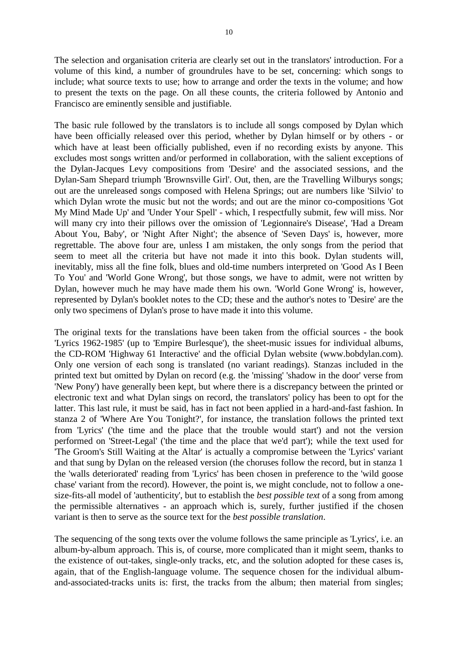The selection and organisation criteria are clearly set out in the translators' introduction. For a volume of this kind, a number of groundrules have to be set, concerning: which songs to include; what source texts to use; how to arrange and order the texts in the volume; and how to present the texts on the page. On all these counts, the criteria followed by Antonio and Francisco are eminently sensible and justifiable.

The basic rule followed by the translators is to include all songs composed by Dylan which have been officially released over this period, whether by Dylan himself or by others - or which have at least been officially published, even if no recording exists by anyone. This excludes most songs written and/or performed in collaboration, with the salient exceptions of the Dylan-Jacques Levy compositions from 'Desire' and the associated sessions, and the Dylan-Sam Shepard triumph 'Brownsville Girl'. Out, then, are the Travelling Wilburys songs; out are the unreleased songs composed with Helena Springs; out are numbers like 'Silvio' to which Dylan wrote the music but not the words; and out are the minor co-compositions 'Got My Mind Made Up' and 'Under Your Spell' - which, I respectfully submit, few will miss. Nor will many cry into their pillows over the omission of 'Legionnaire's Disease', 'Had a Dream About You, Baby', or 'Night After Night'; the absence of 'Seven Days' is, however, more regrettable. The above four are, unless I am mistaken, the only songs from the period that seem to meet all the criteria but have not made it into this book. Dylan students will, inevitably, miss all the fine folk, blues and old-time numbers interpreted on 'Good As I Been To You' and 'World Gone Wrong', but those songs, we have to admit, were not written by Dylan, however much he may have made them his own. 'World Gone Wrong' is, however, represented by Dylan's booklet notes to the CD; these and the author's notes to 'Desire' are the only two specimens of Dylan's prose to have made it into this volume.

The original texts for the translations have been taken from the official sources - the book 'Lyrics 1962-1985' (up to 'Empire Burlesque'), the sheet-music issues for individual albums, the CD-ROM 'Highway 61 Interactive' and the official Dylan website (www.bobdylan.com). Only one version of each song is translated (no variant readings). Stanzas included in the printed text but omitted by Dylan on record (e.g. the 'missing' 'shadow in the door' verse from 'New Pony') have generally been kept, but where there is a discrepancy between the printed or electronic text and what Dylan sings on record, the translators' policy has been to opt for the latter. This last rule, it must be said, has in fact not been applied in a hard-and-fast fashion. In stanza 2 of 'Where Are You Tonight?', for instance, the translation follows the printed text from 'Lyrics' ('the time and the place that the trouble would start') and not the version performed on 'Street-Legal' ('the time and the place that we'd part'); while the text used for 'The Groom's Still Waiting at the Altar' is actually a compromise between the 'Lyrics' variant and that sung by Dylan on the released version (the choruses follow the record, but in stanza 1 the 'walls deteriorated' reading from 'Lyrics' has been chosen in preference to the 'wild goose chase' variant from the record). However, the point is, we might conclude, not to follow a onesize-fits-all model of 'authenticity', but to establish the *best possible text* of a song from among the permissible alternatives - an approach which is, surely, further justified if the chosen variant is then to serve as the source text for the *best possible translation*.

The sequencing of the song texts over the volume follows the same principle as 'Lyrics', i.e. an album-by-album approach. This is, of course, more complicated than it might seem, thanks to the existence of out-takes, single-only tracks, etc, and the solution adopted for these cases is, again, that of the English-language volume. The sequence chosen for the individual albumand-associated-tracks units is: first, the tracks from the album; then material from singles;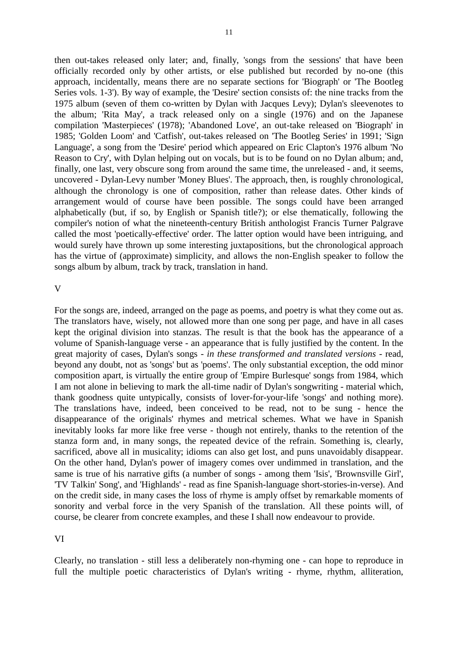then out-takes released only later; and, finally, 'songs from the sessions' that have been officially recorded only by other artists, or else published but recorded by no-one (this approach, incidentally, means there are no separate sections for 'Biograph' or 'The Bootleg Series vols. 1-3'). By way of example, the 'Desire' section consists of: the nine tracks from the 1975 album (seven of them co-written by Dylan with Jacques Levy); Dylan's sleevenotes to the album; 'Rita May', a track released only on a single (1976) and on the Japanese compilation 'Masterpieces' (1978); 'Abandoned Love', an out-take released on 'Biograph' in 1985; 'Golden Loom' and 'Catfish', out-takes released on 'The Bootleg Series' in 1991; 'Sign Language', a song from the 'Desire' period which appeared on Eric Clapton's 1976 album 'No Reason to Cry', with Dylan helping out on vocals, but is to be found on no Dylan album; and, finally, one last, very obscure song from around the same time, the unreleased - and, it seems, uncovered - Dylan-Levy number 'Money Blues'. The approach, then, is roughly chronological, although the chronology is one of composition, rather than release dates. Other kinds of arrangement would of course have been possible. The songs could have been arranged alphabetically (but, if so, by English or Spanish title?); or else thematically, following the compiler's notion of what the nineteenth-century British anthologist Francis Turner Palgrave called the most 'poetically-effective' order. The latter option would have been intriguing, and would surely have thrown up some interesting juxtapositions, but the chronological approach has the virtue of (approximate) simplicity, and allows the non-English speaker to follow the songs album by album, track by track, translation in hand.

#### V

For the songs are, indeed, arranged on the page as poems, and poetry is what they come out as. The translators have, wisely, not allowed more than one song per page, and have in all cases kept the original division into stanzas. The result is that the book has the appearance of a volume of Spanish-language verse - an appearance that is fully justified by the content. In the great majority of cases, Dylan's songs - *in these transformed and translated versions* - read, beyond any doubt, not as 'songs' but as 'poems'. The only substantial exception, the odd minor composition apart, is virtually the entire group of 'Empire Burlesque' songs from 1984, which I am not alone in believing to mark the all-time nadir of Dylan's songwriting - material which, thank goodness quite untypically, consists of lover-for-your-life 'songs' and nothing more). The translations have, indeed, been conceived to be read, not to be sung - hence the disappearance of the originals' rhymes and metrical schemes. What we have in Spanish inevitably looks far more like free verse - though not entirely, thanks to the retention of the stanza form and, in many songs, the repeated device of the refrain. Something is, clearly, sacrificed, above all in musicality; idioms can also get lost, and puns unavoidably disappear. On the other hand, Dylan's power of imagery comes over undimmed in translation, and the same is true of his narrative gifts (a number of songs - among them 'Isis', 'Brownsville Girl', 'TV Talkin' Song', and 'Highlands' - read as fine Spanish-language short-stories-in-verse). And on the credit side, in many cases the loss of rhyme is amply offset by remarkable moments of sonority and verbal force in the very Spanish of the translation. All these points will, of course, be clearer from concrete examples, and these I shall now endeavour to provide.

## VI

Clearly, no translation - still less a deliberately non-rhyming one - can hope to reproduce in full the multiple poetic characteristics of Dylan's writing - rhyme, rhythm, alliteration,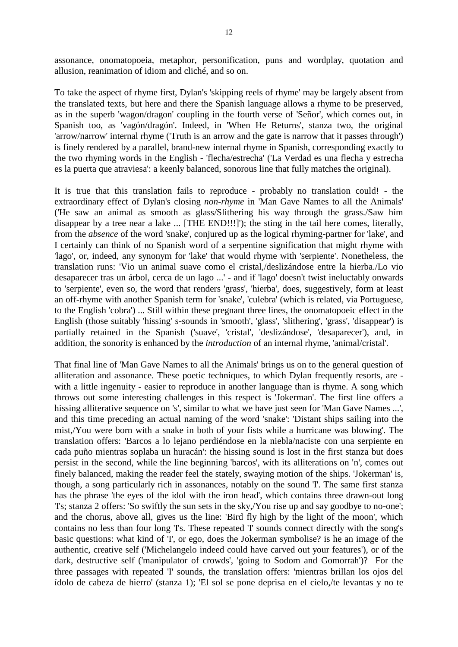assonance, onomatopoeia, metaphor, personification, puns and wordplay, quotation and allusion, reanimation of idiom and cliché, and so on.

To take the aspect of rhyme first, Dylan's 'skipping reels of rhyme' may be largely absent from the translated texts, but here and there the Spanish language allows a rhyme to be preserved, as in the superb 'wagon/dragon' coupling in the fourth verse of 'Señor', which comes out, in Spanish too, as 'vagón/dragón'. Indeed, in 'When He Returns', stanza two, the original 'arrow/narrow' internal rhyme ('Truth is an arrow and the gate is narrow that it passes through') is finely rendered by a parallel, brand-new internal rhyme in Spanish, corresponding exactly to the two rhyming words in the English - 'flecha/estrecha' ('La Verdad es una flecha y estrecha es la puerta que atraviesa': a keenly balanced, sonorous line that fully matches the original).

It is true that this translation fails to reproduce - probably no translation could! - the extraordinary effect of Dylan's closing *non-rhyme* in 'Man Gave Names to all the Animals' ('He saw an animal as smooth as glass/Slithering his way through the grass./Saw him disappear by a tree near a lake ... [THE END!!!]'); the sting in the tail here comes, literally, from the *absence* of the word 'snake', conjured up as the logical rhyming-partner for 'lake', and I certainly can think of no Spanish word of a serpentine signification that might rhyme with 'lago', or, indeed, any synonym for 'lake' that would rhyme with 'serpiente'. Nonetheless, the translation runs: 'Vio un animal suave como el cristal,/deslizándose entre la hierba./Lo vio desaparecer tras un árbol, cerca de un lago ...' - and if 'lago' doesn't twist ineluctably onwards to 'serpiente', even so, the word that renders 'grass', 'hierba', does, suggestively, form at least an off-rhyme with another Spanish term for 'snake', 'culebra' (which is related, via Portuguese, to the English 'cobra') ... Still within these pregnant three lines, the onomatopoeic effect in the English (those suitably 'hissing' s-sounds in 'smooth', 'glass', 'slithering', 'grass', 'disappear') is partially retained in the Spanish ('suave', 'cristal', 'deslizándose', 'desaparecer'), and, in addition, the sonority is enhanced by the *introduction* of an internal rhyme, 'animal/cristal'.

That final line of 'Man Gave Names to all the Animals' brings us on to the general question of alliteration and assonance. These poetic techniques, to which Dylan frequently resorts, are with a little ingenuity - easier to reproduce in another language than is rhyme. A song which throws out some interesting challenges in this respect is 'Jokerman'. The first line offers a hissing alliterative sequence on 's', similar to what we have just seen for 'Man Gave Names ...', and this time preceding an actual naming of the word 'snake': 'Distant ships sailing into the mist,/You were born with a snake in both of your fists while a hurricane was blowing'. The translation offers: 'Barcos a lo lejano perdiéndose en la niebla/naciste con una serpiente en cada puño mientras soplaba un huracán': the hissing sound is lost in the first stanza but does persist in the second, while the line beginning 'barcos', with its alliterations on 'n', comes out finely balanced, making the reader feel the stately, swaying motion of the ships. 'Jokerman' is, though, a song particularly rich in assonances, notably on the sound 'I'. The same first stanza has the phrase 'the eyes of the idol with the iron head', which contains three drawn-out long 'I's; stanza 2 offers: 'So swiftly the sun sets in the sky,/You rise up and say goodbye to no-one'; and the chorus, above all, gives us the line: 'Bird fly high by the light of the moon', which contains no less than four long 'I's. These repeated 'I' sounds connect directly with the song's basic questions: what kind of 'I', or ego, does the Jokerman symbolise? is he an image of the authentic, creative self ('Michelangelo indeed could have carved out your features'), or of the dark, destructive self ('manipulator of crowds', 'going to Sodom and Gomorrah')? For the three passages with repeated 'I' sounds, the translation offers: 'mientras brillan los ojos del ídolo de cabeza de hierro' (stanza 1); 'El sol se pone deprisa en el cielo,/te levantas y no te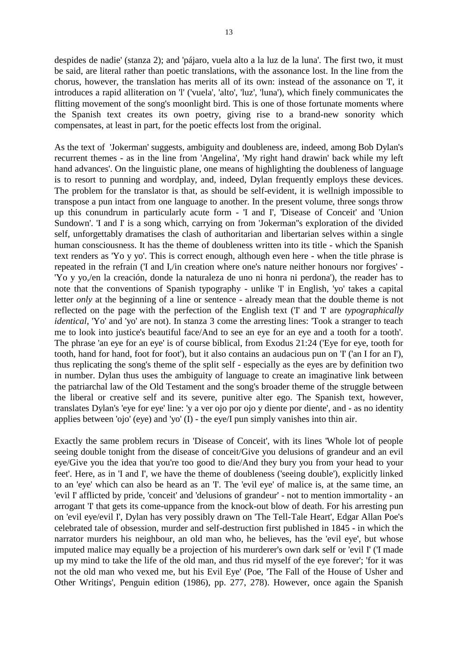despides de nadie' (stanza 2); and 'pájaro, vuela alto a la luz de la luna'. The first two, it must be said, are literal rather than poetic translations, with the assonance lost. In the line from the chorus, however, the translation has merits all of its own: instead of the assonance on 'I', it introduces a rapid alliteration on 'l' ('vuela', 'alto', 'luz', 'luna'), which finely communicates the flitting movement of the song's moonlight bird. This is one of those fortunate moments where the Spanish text creates its own poetry, giving rise to a brand-new sonority which compensates, at least in part, for the poetic effects lost from the original.

As the text of 'Jokerman' suggests, ambiguity and doubleness are, indeed, among Bob Dylan's recurrent themes - as in the line from 'Angelina', 'My right hand drawin' back while my left hand advances'. On the linguistic plane, one means of highlighting the doubleness of language is to resort to punning and wordplay, and, indeed, Dylan frequently employs these devices. The problem for the translator is that, as should be self-evident, it is wellnigh impossible to transpose a pun intact from one language to another. In the present volume, three songs throw up this conundrum in particularly acute form - 'I and I', 'Disease of Conceit' and 'Union Sundown'. 'I and I' is a song which, carrying on from 'Jokerman''s exploration of the divided self, unforgettably dramatises the clash of authoritarian and libertarian selves within a single human consciousness. It has the theme of doubleness written into its title - which the Spanish text renders as 'Yo y yo'. This is correct enough, although even here - when the title phrase is repeated in the refrain ('I and I,/in creation where one's nature neither honours nor forgives' - 'Yo y yo,/en la creación, donde la naturaleza de uno ni honra ni perdona'), the reader has to note that the conventions of Spanish typography - unlike 'I' in English, 'yo' takes a capital letter *only* at the beginning of a line or sentence - already mean that the double theme is not reflected on the page with the perfection of the English text ('I' and 'I' are *typographically identical*, 'Yo' and 'yo' are not). In stanza 3 come the arresting lines: 'Took a stranger to teach me to look into justice's beautiful face/And to see an eye for an eye and a tooth for a tooth'. The phrase 'an eye for an eye' is of course biblical, from Exodus 21:24 ('Eye for eye, tooth for tooth, hand for hand, foot for foot'), but it also contains an audacious pun on 'I' ('an I for an I'), thus replicating the song's theme of the split self - especially as the eyes are by definition two in number. Dylan thus uses the ambiguity of language to create an imaginative link between the patriarchal law of the Old Testament and the song's broader theme of the struggle between the liberal or creative self and its severe, punitive alter ego. The Spanish text, however, translates Dylan's 'eye for eye' line: 'y a ver ojo por ojo y diente por diente', and - as no identity applies between 'ojo' (eye) and 'yo' (I) - the eye/I pun simply vanishes into thin air.

Exactly the same problem recurs in 'Disease of Conceit', with its lines 'Whole lot of people seeing double tonight from the disease of conceit/Give you delusions of grandeur and an evil eye/Give you the idea that you're too good to die/And they bury you from your head to your feet'. Here, as in 'I and I', we have the theme of doubleness ('seeing double'), explicitly linked to an 'eye' which can also be heard as an 'I'. The 'evil eye' of malice is, at the same time, an 'evil I' afflicted by pride, 'conceit' and 'delusions of grandeur' - not to mention immortality - an arrogant 'I' that gets its come-uppance from the knock-out blow of death. For his arresting pun on 'evil eye/evil I', Dylan has very possibly drawn on 'The Tell-Tale Heart', Edgar Allan Poe's celebrated tale of obsession, murder and self-destruction first published in 1845 - in which the narrator murders his neighbour, an old man who, he believes, has the 'evil eye', but whose imputed malice may equally be a projection of his murderer's own dark self or 'evil I' ('I made up my mind to take the life of the old man, and thus rid myself of the eye forever'; 'for it was not the old man who vexed me, but his Evil Eye' (Poe, 'The Fall of the House of Usher and Other Writings', Penguin edition (1986), pp. 277, 278). However, once again the Spanish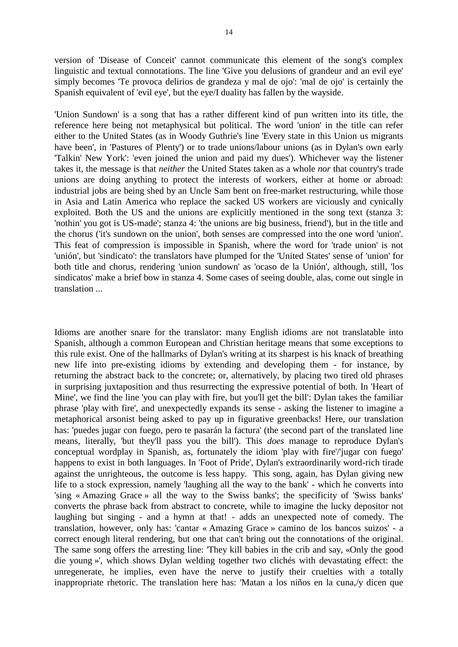version of 'Disease of Conceit' cannot communicate this element of the song's complex linguistic and textual connotations. The line 'Give you delusions of grandeur and an evil eye' simply becomes 'Te provoca delirios de grandeza y mal de ojo': 'mal de ojo' is certainly the Spanish equivalent of 'evil eye', but the eye/I duality has fallen by the wayside.

'Union Sundown' is a song that has a rather different kind of pun written into its title, the reference here being not metaphysical but political. The word 'union' in the title can refer either to the United States (as in Woody Guthrie's line 'Every state in this Union us migrants have been', in 'Pastures of Plenty') or to trade unions/labour unions (as in Dylan's own early 'Talkin' New York': 'even joined the union and paid my dues'). Whichever way the listener takes it, the message is that *neither* the United States taken as a whole *nor* that country's trade unions are doing anything to protect the interests of workers, either at home or abroad: industrial jobs are being shed by an Uncle Sam bent on free-market restructuring, while those in Asia and Latin America who replace the sacked US workers are viciously and cynically exploited. Both the US and the unions are explicitly mentioned in the song text (stanza 3: 'nothin' you got is US-made'; stanza 4: 'the unions are big business, friend'), but in the title and the chorus ('it's sundown on the union', both senses are compressed into the one word 'union'. This feat of compression is impossible in Spanish, where the word for 'trade union' is not 'unión', but 'sindicato': the translators have plumped for the 'United States' sense of 'union' for both title and chorus, rendering 'union sundown' as 'ocaso de la Unión', although, still, 'los sindicatos' make a brief bow in stanza 4. Some cases of seeing double, alas, come out single in translation ...

Idioms are another snare for the translator: many English idioms are not translatable into Spanish, although a common European and Christian heritage means that some exceptions to this rule exist. One of the hallmarks of Dylan's writing at its sharpest is his knack of breathing new life into pre-existing idioms by extending and developing them - for instance, by returning the abstract back to the concrete; or, alternatively, by placing two tired old phrases in surprising juxtaposition and thus resurrecting the expressive potential of both. In 'Heart of Mine', we find the line 'you can play with fire, but you'll get the bill': Dylan takes the familiar phrase 'play with fire', and unexpectedly expands its sense - asking the listener to imagine a metaphorical arsonist being asked to pay up in figurative greenbacks! Here, our translation has: 'puedes jugar con fuego, pero te pasarán la factura' (the second part of the translated line means, literally, 'but they'll pass you the bill'). This *does* manage to reproduce Dylan's conceptual wordplay in Spanish, as, fortunately the idiom 'play with fire'/'jugar con fuego' happens to exist in both languages. In 'Foot of Pride', Dylan's extraordinarily word-rich tirade against the unrighteous, the outcome is less happy. This song, again, has Dylan giving new life to a stock expression, namely 'laughing all the way to the bank' - which he converts into 'sing « Amazing Grace » all the way to the Swiss banks'; the specificity of 'Swiss banks' converts the phrase back from abstract to concrete, while to imagine the lucky depositor not laughing but singing - and a hymn at that! - adds an unexpected note of comedy. The translation, however, only has: 'cantar « Amazing Grace » camino de los bancos suizos' - a correct enough literal rendering, but one that can't bring out the connotations of the original. The same song offers the arresting line: 'They kill babies in the crib and say, «Only the good die young »', which shows Dylan welding together two clichés with devastating effect: the unregenerate, he implies, even have the nerve to justify their cruelties with a totally inappropriate rhetoric. The translation here has: 'Matan a los niños en la cuna,/y dicen que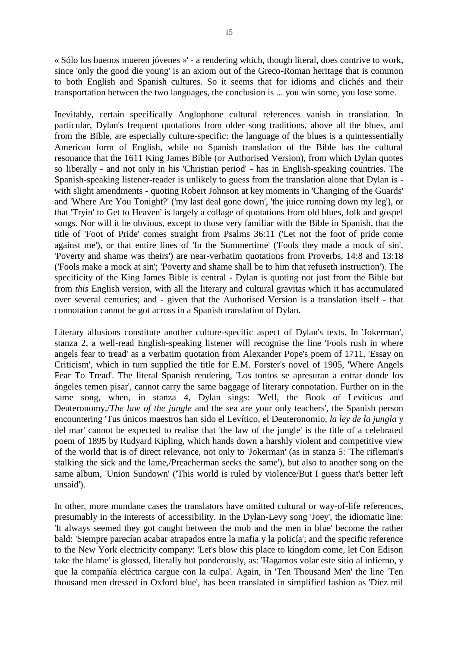« Sólo los buenos mueren jóvenes »' - a rendering which, though literal, does contrive to work, since 'only the good die young' is an axiom out of the Greco-Roman heritage that is common to both English and Spanish cultures. So it seems that for idioms and clichés and their transportation between the two languages, the conclusion is ... you win some, you lose some.

Inevitably, certain specifically Anglophone cultural references vanish in translation. In particular, Dylan's frequent quotations from older song traditions, above all the blues, and from the Bible, are especially culture-specific: the language of the blues is a quintessentially American form of English, while no Spanish translation of the Bible has the cultural resonance that the 1611 King James Bible (or Authorised Version), from which Dylan quotes so liberally - and not only in his 'Christian period' - has in English-speaking countries. The Spanish-speaking listener-reader is unlikely to guess from the translation alone that Dylan is with slight amendments - quoting Robert Johnson at key moments in 'Changing of the Guards' and 'Where Are You Tonight?' ('my last deal gone down', 'the juice running down my leg'), or that 'Tryin' to Get to Heaven' is largely a collage of quotations from old blues, folk and gospel songs. Nor will it be obvious, except to those very familiar with the Bible in Spanish, that the title of 'Foot of Pride' comes straight from Psalms 36:11 ('Let not the foot of pride come against me'), or that entire lines of 'In the Summertime' ('Fools they made a mock of sin', 'Poverty and shame was theirs') are near-verbatim quotations from Proverbs, 14:8 and 13:18 ('Fools make a mock at sin'; 'Poverty and shame shall be to him that refuseth instruction'). The specificity of the King James Bible is central - Dylan is quoting not just from the Bible but from *this* English version, with all the literary and cultural gravitas which it has accumulated over several centuries; and - given that the Authorised Version is a translation itself - that connotation cannot be got across in a Spanish translation of Dylan.

Literary allusions constitute another culture-specific aspect of Dylan's texts. In 'Jokerman', stanza 2, a well-read English-speaking listener will recognise the line 'Fools rush in where angels fear to tread' as a verbatim quotation from Alexander Pope's poem of 1711, 'Essay on Criticism', which in turn supplied the title for E.M. Forster's novel of 1905, 'Where Angels Fear To Tread'. The literal Spanish rendering, 'Los tontos se apresuran a entrar donde los ángeles temen pisar', cannot carry the same baggage of literary connotation. Further on in the same song, when, in stanza 4, Dylan sings: 'Well, the Book of Leviticus and Deuteronomy,/*The law of the jungle* and the sea are your only teachers', the Spanish person encountering 'Tus únicos maestros han sido el Levítico, el Deuteronomio, *la ley de la jungla* y del mar' cannot be expected to realise that 'the law of the jungle' is the title of a celebrated poem of 1895 by Rudyard Kipling, which hands down a harshly violent and competitive view of the world that is of direct relevance, not only to 'Jokerman' (as in stanza 5: 'The rifleman's stalking the sick and the lame,/Preacherman seeks the same'), but also to another song on the same album, 'Union Sundown' ('This world is ruled by violence/But I guess that's better left unsaid').

In other, more mundane cases the translators have omitted cultural or way-of-life references, presumably in the interests of accessibility. In the Dylan-Levy song 'Joey', the idiomatic line: 'It always seemed they got caught between the mob and the men in blue' become the rather bald: 'Siempre parecían acabar atrapados entre la mafia y la policía'; and the specific reference to the New York electricity company: 'Let's blow this place to kingdom come, let Con Edison take the blame' is glossed, literally but ponderously, as: 'Hagamos volar este sitio al infierno, y que la compañía eléctrica cargue con la culpa'. Again, in 'Ten Thousand Men' the line 'Ten thousand men dressed in Oxford blue', has been translated in simplified fashion as 'Diez mil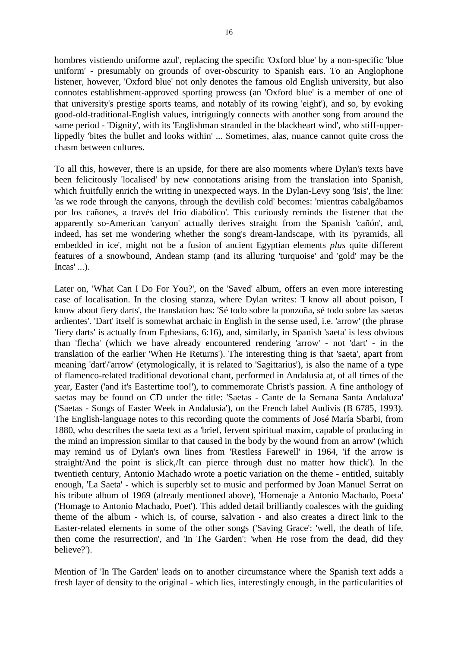hombres vistiendo uniforme azul', replacing the specific 'Oxford blue' by a non-specific 'blue uniform' - presumably on grounds of over-obscurity to Spanish ears. To an Anglophone listener, however, 'Oxford blue' not only denotes the famous old English university, but also connotes establishment-approved sporting prowess (an 'Oxford blue' is a member of one of that university's prestige sports teams, and notably of its rowing 'eight'), and so, by evoking good-old-traditional-English values, intriguingly connects with another song from around the same period - 'Dignity', with its 'Englishman stranded in the blackheart wind', who stiff-upperlippedly 'bites the bullet and looks within' ... Sometimes, alas, nuance cannot quite cross the chasm between cultures.

To all this, however, there is an upside, for there are also moments where Dylan's texts have been felicitously 'localised' by new connotations arising from the translation into Spanish, which fruitfully enrich the writing in unexpected ways. In the Dylan-Levy song 'Isis', the line: 'as we rode through the canyons, through the devilish cold' becomes: 'mientras cabalgábamos por los cañones, a través del frío diabólico'. This curiously reminds the listener that the apparently so-American 'canyon' actually derives straight from the Spanish 'cañón', and, indeed, has set me wondering whether the song's dream-landscape, with its 'pyramids, all embedded in ice', might not be a fusion of ancient Egyptian elements *plus* quite different features of a snowbound, Andean stamp (and its alluring 'turquoise' and 'gold' may be the  $Incas'$ ...).

Later on, 'What Can I Do For You?', on the 'Saved' album, offers an even more interesting case of localisation. In the closing stanza, where Dylan writes: 'I know all about poison, I know about fiery darts', the translation has: 'Sé todo sobre la ponzoña, sé todo sobre las saetas ardientes'. 'Dart' itself is somewhat archaic in English in the sense used, i.e. 'arrow' (the phrase 'fiery darts' is actually from Ephesians, 6:16), and, similarly, in Spanish 'saeta' is less obvious than 'flecha' (which we have already encountered rendering 'arrow' - not 'dart' - in the translation of the earlier 'When He Returns'). The interesting thing is that 'saeta', apart from meaning 'dart'/'arrow' (etymologically, it is related to 'Sagittarius'), is also the name of a type of flamenco-related traditional devotional chant, performed in Andalusia at, of all times of the year, Easter ('and it's Eastertime too!'), to commemorate Christ's passion. A fine anthology of saetas may be found on CD under the title: 'Saetas - Cante de la Semana Santa Andaluza' ('Saetas - Songs of Easter Week in Andalusia'), on the French label Audivis (B 6785, 1993). The English-language notes to this recording quote the comments of José María Sbarbi, from 1880, who describes the saeta text as a 'brief, fervent spiritual maxim, capable of producing in the mind an impression similar to that caused in the body by the wound from an arrow' (which may remind us of Dylan's own lines from 'Restless Farewell' in 1964, 'if the arrow is straight/And the point is slick,/It can pierce through dust no matter how thick'). In the twentieth century, Antonio Machado wrote a poetic variation on the theme - entitled, suitably enough, 'La Saeta' - which is superbly set to music and performed by Joan Manuel Serrat on his tribute album of 1969 (already mentioned above), 'Homenaje a Antonio Machado, Poeta' ('Homage to Antonio Machado, Poet'). This added detail brilliantly coalesces with the guiding theme of the album - which is, of course, salvation - and also creates a direct link to the Easter-related elements in some of the other songs ('Saving Grace': 'well, the death of life, then come the resurrection', and 'In The Garden': 'when He rose from the dead, did they believe?').

Mention of 'In The Garden' leads on to another circumstance where the Spanish text adds a fresh layer of density to the original - which lies, interestingly enough, in the particularities of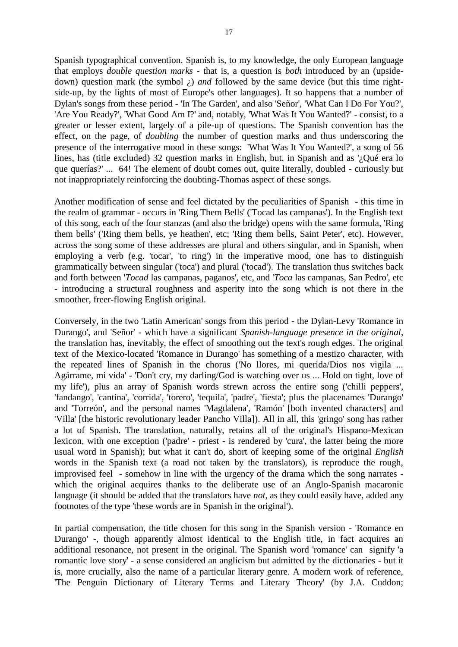Spanish typographical convention. Spanish is, to my knowledge, the only European language that employs *double question marks* - that is, a question is *both* introduced by an (upsidedown) question mark (the symbol ¿) *and* followed by the same device (but this time rightside-up, by the lights of most of Europe's other languages). It so happens that a number of Dylan's songs from these period - 'In The Garden', and also 'Señor', 'What Can I Do For You?', 'Are You Ready?', 'What Good Am I?' and, notably, 'What Was It You Wanted?' - consist, to a greater or lesser extent, largely of a pile-up of questions. The Spanish convention has the effect, on the page, of *doubling* the number of question marks and thus underscoring the presence of the interrogative mood in these songs: 'What Was It You Wanted?', a song of 56 lines, has (title excluded) 32 question marks in English, but, in Spanish and as '¿Qué era lo que querías?' ... 64! The element of doubt comes out, quite literally, doubled - curiously but not inappropriately reinforcing the doubting-Thomas aspect of these songs.

Another modification of sense and feel dictated by the peculiarities of Spanish - this time in the realm of grammar - occurs in 'Ring Them Bells' ('Tocad las campanas'). In the English text of this song, each of the four stanzas (and also the bridge) opens with the same formula, 'Ring them bells' ('Ring them bells, ye heathen', etc; 'Ring them bells, Saint Peter', etc). However, across the song some of these addresses are plural and others singular, and in Spanish, when employing a verb (e.g. 'tocar', 'to ring') in the imperative mood, one has to distinguish grammatically between singular ('toca') and plural ('tocad'). The translation thus switches back and forth between '*Tocad* las campanas, paganos', etc, and '*Toca* las campanas, San Pedro', etc - introducing a structural roughness and asperity into the song which is not there in the smoother, freer-flowing English original.

Conversely, in the two 'Latin American' songs from this period - the Dylan-Levy 'Romance in Durango', and 'Señor' - which have a significant *Spanish-language presence in the original*, the translation has, inevitably, the effect of smoothing out the text's rough edges. The original text of the Mexico-located 'Romance in Durango' has something of a mestizo character, with the repeated lines of Spanish in the chorus ('No llores, mi querida/Dios nos vigila ... Agárrame, mi vida' - 'Don't cry, my darling/God is watching over us ... Hold on tight, love of my life'), plus an array of Spanish words strewn across the entire song ('chilli peppers', 'fandango', 'cantina', 'corrida', 'torero', 'tequila', 'padre', 'fiesta'; plus the placenames 'Durango' and 'Torreón', and the personal names 'Magdalena', 'Ramón' [both invented characters] and 'Villa' [the historic revolutionary leader Pancho Villa]). All in all, this 'gringo' song has rather a lot of Spanish. The translation, naturally, retains all of the original's Hispano-Mexican lexicon, with one exception ('padre' - priest - is rendered by 'cura', the latter being the more usual word in Spanish); but what it can't do, short of keeping some of the original *English*  words in the Spanish text (a road not taken by the translators), is reproduce the rough, improvised feel - somehow in line with the urgency of the drama which the song narrates which the original acquires thanks to the deliberate use of an Anglo-Spanish macaronic language (it should be added that the translators have *not*, as they could easily have, added any footnotes of the type 'these words are in Spanish in the original').

In partial compensation, the title chosen for this song in the Spanish version - 'Romance en Durango' -, though apparently almost identical to the English title, in fact acquires an additional resonance, not present in the original. The Spanish word 'romance' can signify 'a romantic love story' - a sense considered an anglicism but admitted by the dictionaries - but it is, more crucially, also the name of a particular literary genre. A modern work of reference, 'The Penguin Dictionary of Literary Terms and Literary Theory' (by J.A. Cuddon;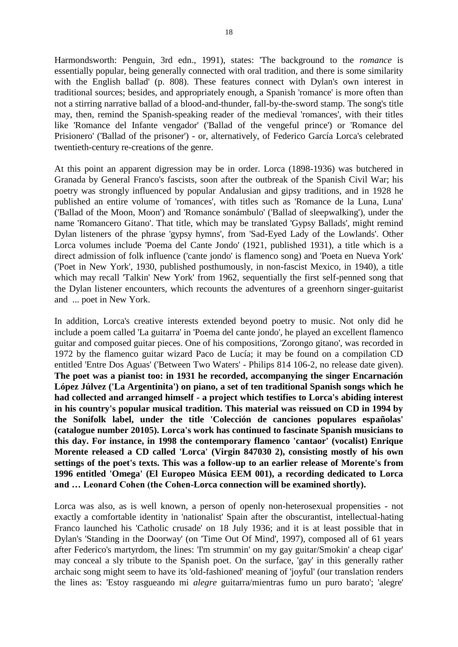Harmondsworth: Penguin, 3rd edn., 1991), states: 'The background to the *romance* is essentially popular, being generally connected with oral tradition, and there is some similarity with the English ballad' (p. 808). These features connect with Dylan's own interest in traditional sources; besides, and appropriately enough, a Spanish 'romance' is more often than not a stirring narrative ballad of a blood-and-thunder, fall-by-the-sword stamp. The song's title may, then, remind the Spanish-speaking reader of the medieval 'romances', with their titles like 'Romance del Infante vengador' ('Ballad of the vengeful prince') or 'Romance del Prisionero' ('Ballad of the prisoner') - or, alternatively, of Federico García Lorca's celebrated twentieth-century re-creations of the genre.

At this point an apparent digression may be in order. Lorca (1898-1936) was butchered in Granada by General Franco's fascists, soon after the outbreak of the Spanish Civil War; his poetry was strongly influenced by popular Andalusian and gipsy traditions, and in 1928 he published an entire volume of 'romances', with titles such as 'Romance de la Luna, Luna' ('Ballad of the Moon, Moon') and 'Romance sonámbulo' ('Ballad of sleepwalking'), under the name 'Romancero Gitano'. That title, which may be translated 'Gypsy Ballads', might remind Dylan listeners of the phrase 'gypsy hymns', from 'Sad-Eyed Lady of the Lowlands'. Other Lorca volumes include 'Poema del Cante Jondo' (1921, published 1931), a title which is a direct admission of folk influence ('cante jondo' is flamenco song) and 'Poeta en Nueva York' ('Poet in New York', 1930, published posthumously, in non-fascist Mexico, in 1940), a title which may recall 'Talkin' New York' from 1962, sequentially the first self-penned song that the Dylan listener encounters, which recounts the adventures of a greenhorn singer-guitarist and ... poet in New York.

In addition, Lorca's creative interests extended beyond poetry to music. Not only did he include a poem called 'La guitarra' in 'Poema del cante jondo', he played an excellent flamenco guitar and composed guitar pieces. One of his compositions, 'Zorongo gitano', was recorded in 1972 by the flamenco guitar wizard Paco de Lucía; it may be found on a compilation CD entitled 'Entre Dos Aguas' ('Between Two Waters' - Philips 814 106-2, no release date given). **The poet was a pianist too: in 1931 he recorded, accompanying the singer Encarnación López Júlvez ('La Argentinita') on piano, a set of ten traditional Spanish songs which he had collected and arranged himself - a project which testifies to Lorca's abiding interest in his country's popular musical tradition. This material was reissued on CD in 1994 by the Sonifolk label, under the title 'Colección de canciones populares españolas' (catalogue number 20105). Lorca's work has continued to fascinate Spanish musicians to this day. For instance, in 1998 the contemporary flamenco 'cantaor' (vocalist) Enrique Morente released a CD called 'Lorca' (Virgin 847030 2), consisting mostly of his own settings of the poet's texts. This was a follow-up to an earlier release of Morente's from 1996 entitled 'Omega' (El Europeo Música EEM 001), a recording dedicated to Lorca and … Leonard Cohen (the Cohen-Lorca connection will be examined shortly).**

Lorca was also, as is well known, a person of openly non-heterosexual propensities - not exactly a comfortable identity in 'nationalist' Spain after the obscurantist, intellectual-hating Franco launched his 'Catholic crusade' on 18 July 1936; and it is at least possible that in Dylan's 'Standing in the Doorway' (on 'Time Out Of Mind', 1997), composed all of 61 years after Federico's martyrdom, the lines: 'I'm strummin' on my gay guitar/Smokin' a cheap cigar' may conceal a sly tribute to the Spanish poet. On the surface, 'gay' in this generally rather archaic song might seem to have its 'old-fashioned' meaning of 'joyful' (our translation renders the lines as: 'Estoy rasgueando mi *alegre* guitarra/mientras fumo un puro barato'; 'alegre'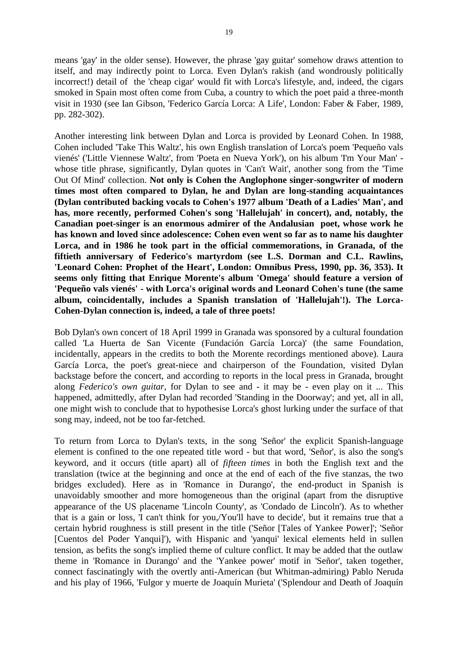means 'gay' in the older sense). However, the phrase 'gay guitar' somehow draws attention to itself, and may indirectly point to Lorca. Even Dylan's rakish (and wondrously politically incorrect!) detail of the 'cheap cigar' would fit with Lorca's lifestyle, and, indeed, the cigars smoked in Spain most often come from Cuba, a country to which the poet paid a three-month visit in 1930 (see Ian Gibson, 'Federico García Lorca: A Life', London: Faber & Faber, 1989, pp. 282-302).

Another interesting link between Dylan and Lorca is provided by Leonard Cohen. In 1988, Cohen included 'Take This Waltz', his own English translation of Lorca's poem 'Pequeño vals vienés' ('Little Viennese Waltz', from 'Poeta en Nueva York'), on his album 'I'm Your Man' whose title phrase, significantly, Dylan quotes in 'Can't Wait', another song from the 'Time Out Of Mind' collection. **Not only is Cohen the Anglophone singer-songwriter of modern times most often compared to Dylan, he and Dylan are long-standing acquaintances (Dylan contributed backing vocals to Cohen's 1977 album 'Death of a Ladies' Man', and has, more recently, performed Cohen's song 'Hallelujah' in concert), and, notably, the Canadian poet-singer is an enormous admirer of the Andalusian poet, whose work he has known and loved since adolescence: Cohen even went so far as to name his daughter Lorca, and in 1986 he took part in the official commemorations, in Granada, of the fiftieth anniversary of Federico's martyrdom (see L.S. Dorman and C.L. Rawlins, 'Leonard Cohen: Prophet of the Heart', London: Omnibus Press, 1990, pp. 36, 353). It seems only fitting that Enrique Morente's album 'Omega' should feature a version of 'Pequeño vals vienés' - with Lorca's original words and Leonard Cohen's tune (the same album, coincidentally, includes a Spanish translation of 'Hallelujah'!). The Lorca-Cohen-Dylan connection is, indeed, a tale of three poets!**

Bob Dylan's own concert of 18 April 1999 in Granada was sponsored by a cultural foundation called 'La Huerta de San Vicente (Fundación García Lorca)' (the same Foundation, incidentally, appears in the credits to both the Morente recordings mentioned above). Laura García Lorca, the poet's great-niece and chairperson of the Foundation, visited Dylan backstage before the concert, and according to reports in the local press in Granada, brought along *Federico's own guitar*, for Dylan to see and - it may be - even play on it ... This happened, admittedly, after Dylan had recorded 'Standing in the Doorway'; and yet, all in all, one might wish to conclude that to hypothesise Lorca's ghost lurking under the surface of that song may, indeed, not be too far-fetched.

To return from Lorca to Dylan's texts, in the song 'Señor' the explicit Spanish-language element is confined to the one repeated title word - but that word, 'Señor', is also the song's keyword, and it occurs (title apart) all of *fifteen times* in both the English text and the translation (twice at the beginning and once at the end of each of the five stanzas, the two bridges excluded). Here as in 'Romance in Durango', the end-product in Spanish is unavoidably smoother and more homogeneous than the original (apart from the disruptive appearance of the US placename 'Lincoln County', as 'Condado de Lincoln'). As to whether that is a gain or loss, 'I can't think for you,/You'll have to decide', but it remains true that a certain hybrid roughness is still present in the title ('Señor [Tales of Yankee Power]'; 'Señor [Cuentos del Poder Yanqui]'), with Hispanic and 'yanqui' lexical elements held in sullen tension, as befits the song's implied theme of culture conflict. It may be added that the outlaw theme in 'Romance in Durango' and the 'Yankee power' motif in 'Señor', taken together, connect fascinatingly with the overtly anti-American (but Whitman-admiring) Pablo Neruda and his play of 1966, 'Fulgor y muerte de Joaquín Murieta' ('Splendour and Death of Joaquín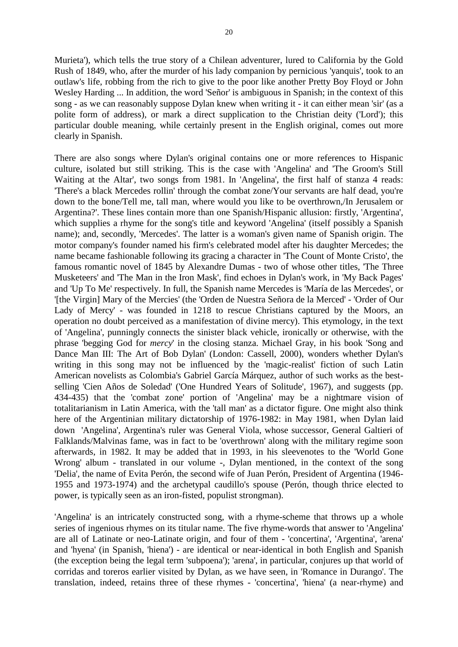Murieta'), which tells the true story of a Chilean adventurer, lured to California by the Gold Rush of 1849, who, after the murder of his lady companion by pernicious 'yanquis', took to an outlaw's life, robbing from the rich to give to the poor like another Pretty Boy Floyd or John Wesley Harding ... In addition, the word 'Señor' is ambiguous in Spanish; in the context of this song - as we can reasonably suppose Dylan knew when writing it - it can either mean 'sir' (as a polite form of address), or mark a direct supplication to the Christian deity ('Lord'); this particular double meaning, while certainly present in the English original, comes out more clearly in Spanish.

There are also songs where Dylan's original contains one or more references to Hispanic culture, isolated but still striking. This is the case with 'Angelina' and 'The Groom's Still Waiting at the Altar', two songs from 1981. In 'Angelina', the first half of stanza 4 reads: 'There's a black Mercedes rollin' through the combat zone/Your servants are half dead, you're down to the bone/Tell me, tall man, where would you like to be overthrown,/In Jerusalem or Argentina?'. These lines contain more than one Spanish/Hispanic allusion: firstly, 'Argentina', which supplies a rhyme for the song's title and keyword 'Angelina' (itself possibly a Spanish name); and, secondly, 'Mercedes'. The latter is a woman's given name of Spanish origin. The motor company's founder named his firm's celebrated model after his daughter Mercedes; the name became fashionable following its gracing a character in 'The Count of Monte Cristo', the famous romantic novel of 1845 by Alexandre Dumas - two of whose other titles, 'The Three Musketeers' and 'The Man in the Iron Mask', find echoes in Dylan's work, in 'My Back Pages' and 'Up To Me' respectively. In full, the Spanish name Mercedes is 'María de las Mercedes', or '[the Virgin] Mary of the Mercies' (the 'Orden de Nuestra Señora de la Merced' - 'Order of Our Lady of Mercy' - was founded in 1218 to rescue Christians captured by the Moors, an operation no doubt perceived as a manifestation of divine mercy). This etymology, in the text of 'Angelina', punningly connects the sinister black vehicle, ironically or otherwise, with the phrase 'begging God for *mercy*' in the closing stanza. Michael Gray, in his book 'Song and Dance Man III: The Art of Bob Dylan' (London: Cassell, 2000), wonders whether Dylan's writing in this song may not be influenced by the 'magic-realist' fiction of such Latin American novelists as Colombia's Gabriel García Márquez, author of such works as the bestselling 'Cien Años de Soledad' ('One Hundred Years of Solitude', 1967), and suggests (pp. 434-435) that the 'combat zone' portion of 'Angelina' may be a nightmare vision of totalitarianism in Latin America, with the 'tall man' as a dictator figure. One might also think here of the Argentinian military dictatorship of 1976-1982: in May 1981, when Dylan laid down 'Angelina', Argentina's ruler was General Viola, whose successor, General Galtieri of Falklands/Malvinas fame, was in fact to be 'overthrown' along with the military regime soon afterwards, in 1982. It may be added that in 1993, in his sleevenotes to the 'World Gone Wrong' album - translated in our volume -, Dylan mentioned, in the context of the song 'Delia', the name of Evita Perón, the second wife of Juan Perón, President of Argentina (1946- 1955 and 1973-1974) and the archetypal caudillo's spouse (Perón, though thrice elected to power, is typically seen as an iron-fisted, populist strongman).

'Angelina' is an intricately constructed song, with a rhyme-scheme that throws up a whole series of ingenious rhymes on its titular name. The five rhyme-words that answer to 'Angelina' are all of Latinate or neo-Latinate origin, and four of them - 'concertina', 'Argentina', 'arena' and 'hyena' (in Spanish, 'hiena') - are identical or near-identical in both English and Spanish (the exception being the legal term 'subpoena'); 'arena', in particular, conjures up that world of corridas and toreros earlier visited by Dylan, as we have seen, in 'Romance in Durango'. The translation, indeed, retains three of these rhymes - 'concertina', 'hiena' (a near-rhyme) and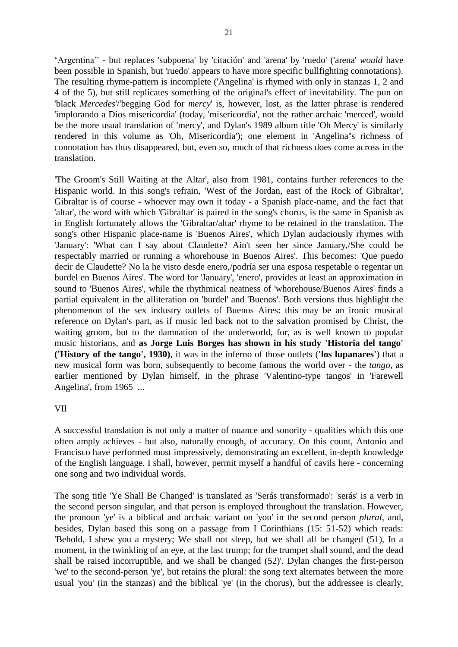'Argentina'' - but replaces 'subpoena' by 'citación' and 'arena' by 'ruedo' ('arena' *would* have been possible in Spanish, but 'ruedo' appears to have more specific bullfighting connotations). The resulting rhyme-pattern is incomplete ('Angelina' is rhymed with only in stanzas 1, 2 and 4 of the 5), but still replicates something of the original's effect of inevitability. The pun on 'black *Mercedes*'/'begging God for *mercy*' is, however, lost, as the latter phrase is rendered 'implorando a Dios misericordia' (today, 'misericordia', not the rather archaic 'merced', would be the more usual translation of 'mercy', and Dylan's 1989 album title 'Oh Mercy' is similarly rendered in this volume as 'Oh, Misericordia'); one element in 'Angelina''s richness of connotation has thus disappeared, but, even so, much of that richness does come across in the translation.

'The Groom's Still Waiting at the Altar', also from 1981, contains further references to the Hispanic world. In this song's refrain, 'West of the Jordan, east of the Rock of Gibraltar', Gibraltar is of course - whoever may own it today - a Spanish place-name, and the fact that 'altar', the word with which 'Gibraltar' is paired in the song's chorus, is the same in Spanish as in English fortunately allows the 'Gibraltar/altar' rhyme to be retained in the translation. The song's other Hispanic place-name is 'Buenos Aires', which Dylan audaciously rhymes with 'January': 'What can I say about Claudette? Ain't seen her since January,/She could be respectably married or running a whorehouse in Buenos Aires'. This becomes: 'Que puedo decir de Claudette? No la he visto desde enero,/podría ser una esposa respetable o regentar un burdel en Buenos Aires'. The word for 'January', 'enero', provides at least an approximation in sound to 'Buenos Aires', while the rhythmical neatness of 'whorehouse/Buenos Aires' finds a partial equivalent in the alliteration on 'burdel' and 'Buenos'. Both versions thus highlight the phenomenon of the sex industry outlets of Buenos Aires: this may be an ironic musical reference on Dylan's part, as if music led back not to the salvation promised by Christ, the waiting groom, but to the damnation of the underworld, for, as is well known to popular music historians, and **as Jorge Luis Borges has shown in his study 'Historia del tango' ('History of the tango', 1930)**, it was in the inferno of those outlets (**'los lupanares'**) that a new musical form was born, subsequently to become famous the world over - the *tango*, as earlier mentioned by Dylan himself, in the phrase 'Valentino-type tangos' in 'Farewell Angelina', from 1965 ...

#### VII

A successful translation is not only a matter of nuance and sonority - qualities which this one often amply achieves - but also, naturally enough, of accuracy. On this count, Antonio and Francisco have performed most impressively, demonstrating an excellent, in-depth knowledge of the English language. I shall, however, permit myself a handful of cavils here - concerning one song and two individual words.

The song title 'Ye Shall Be Changed' is translated as 'Serás transformado': 'serás' is a verb in the second person singular, and that person is employed throughout the translation. However, the pronoun 'ye' is a biblical and archaic variant on 'you' in the second person *plural*, and, besides, Dylan based this song on a passage from I Corinthians (15: 51-52) which reads: 'Behold, I shew you a mystery; We shall not sleep, but we shall all be changed (51), In a moment, in the twinkling of an eye, at the last trump; for the trumpet shall sound, and the dead shall be raised incorruptible, and we shall be changed (52)'. Dylan changes the first-person 'we' to the second-person 'ye', but retains the plural: the song text alternates between the more usual 'you' (in the stanzas) and the biblical 'ye' (in the chorus), but the addressee is clearly,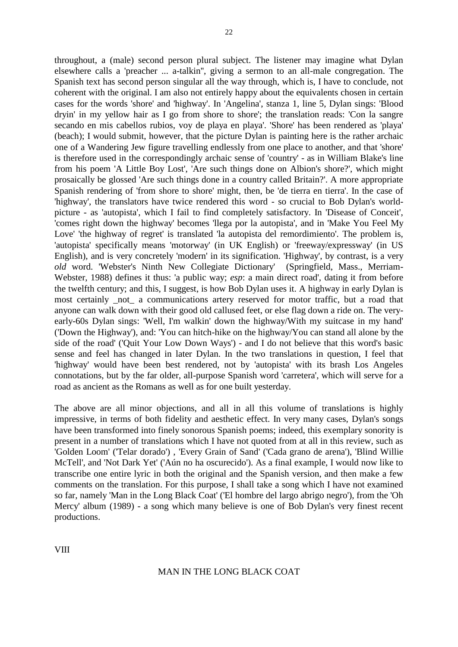throughout, a (male) second person plural subject. The listener may imagine what Dylan elsewhere calls a 'preacher ... a-talkin'', giving a sermon to an all-male congregation. The Spanish text has second person singular all the way through, which is, I have to conclude, not coherent with the original. I am also not entirely happy about the equivalents chosen in certain cases for the words 'shore' and 'highway'. In 'Angelina', stanza 1, line 5, Dylan sings: 'Blood dryin' in my yellow hair as I go from shore to shore'; the translation reads: 'Con la sangre secando en mis cabellos rubios, voy de playa en playa'. 'Shore' has been rendered as 'playa' (beach); I would submit, however, that the picture Dylan is painting here is the rather archaic one of a Wandering Jew figure travelling endlessly from one place to another, and that 'shore' is therefore used in the correspondingly archaic sense of 'country' - as in William Blake's line from his poem 'A Little Boy Lost', 'Are such things done on Albion's shore?', which might prosaically be glossed 'Are such things done in a country called Britain?'. A more appropriate Spanish rendering of 'from shore to shore' might, then, be 'de tierra en tierra'. In the case of 'highway', the translators have twice rendered this word - so crucial to Bob Dylan's worldpicture - as 'autopista', which I fail to find completely satisfactory. In 'Disease of Conceit', 'comes right down the highway' becomes 'llega por la autopista', and in 'Make You Feel My Love' 'the highway of regret' is translated 'la autopista del remordimiento'. The problem is, 'autopista' specifically means 'motorway' (in UK English) or 'freeway/expressway' (in US English), and is very concretely 'modern' in its signification. 'Highway', by contrast, is a very *old* word. 'Webster's Ninth New Collegiate Dictionary' (Springfield, Mass., Merriam-Webster, 1988) defines it thus: 'a public way; *esp*: a main direct road', dating it from before the twelfth century; and this, I suggest, is how Bob Dylan uses it. A highway in early Dylan is most certainly not a communications artery reserved for motor traffic, but a road that anyone can walk down with their good old callused feet, or else flag down a ride on. The veryearly-60s Dylan sings: 'Well, I'm walkin' down the highway/With my suitcase in my hand' ('Down the Highway'), and: 'You can hitch-hike on the highway/You can stand all alone by the side of the road' ('Quit Your Low Down Ways') - and I do not believe that this word's basic sense and feel has changed in later Dylan. In the two translations in question, I feel that 'highway' would have been best rendered, not by 'autopista' with its brash Los Angeles connotations, but by the far older, all-purpose Spanish word 'carretera', which will serve for a road as ancient as the Romans as well as for one built yesterday.

The above are all minor objections, and all in all this volume of translations is highly impressive, in terms of both fidelity and aesthetic effect. In very many cases, Dylan's songs have been transformed into finely sonorous Spanish poems; indeed, this exemplary sonority is present in a number of translations which I have not quoted from at all in this review, such as 'Golden Loom' ('Telar dorado') , 'Every Grain of Sand' ('Cada grano de arena'), 'Blind Willie McTell', and 'Not Dark Yet' ('Aún no ha oscurecido'). As a final example, I would now like to transcribe one entire lyric in both the original and the Spanish version, and then make a few comments on the translation. For this purpose, I shall take a song which I have not examined so far, namely 'Man in the Long Black Coat' ('El hombre del largo abrigo negro'), from the 'Oh Mercy' album (1989) - a song which many believe is one of Bob Dylan's very finest recent productions.

VIII

# MAN IN THE LONG BLACK COAT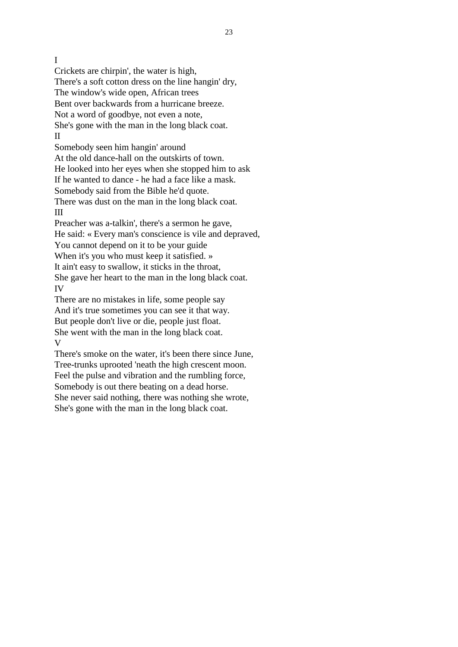I

Crickets are chirpin', the water is high, There's a soft cotton dress on the line hangin' dry, The window's wide open, African trees Bent over backwards from a hurricane breeze. Not a word of goodbye, not even a note, She's gone with the man in the long black coat. II Somebody seen him hangin' around At the old dance-hall on the outskirts of town.

He looked into her eyes when she stopped him to ask If he wanted to dance - he had a face like a mask. Somebody said from the Bible he'd quote. There was dust on the man in the long black coat. III

Preacher was a-talkin', there's a sermon he gave, He said: « Every man's conscience is vile and depraved, You cannot depend on it to be your guide When it's you who must keep it satisfied. » It ain't easy to swallow, it sticks in the throat, She gave her heart to the man in the long black coat. IV

There are no mistakes in life, some people say And it's true sometimes you can see it that way. But people don't live or die, people just float. She went with the man in the long black coat. V

There's smoke on the water, it's been there since June, Tree-trunks uprooted 'neath the high crescent moon. Feel the pulse and vibration and the rumbling force, Somebody is out there beating on a dead horse. She never said nothing, there was nothing she wrote, She's gone with the man in the long black coat.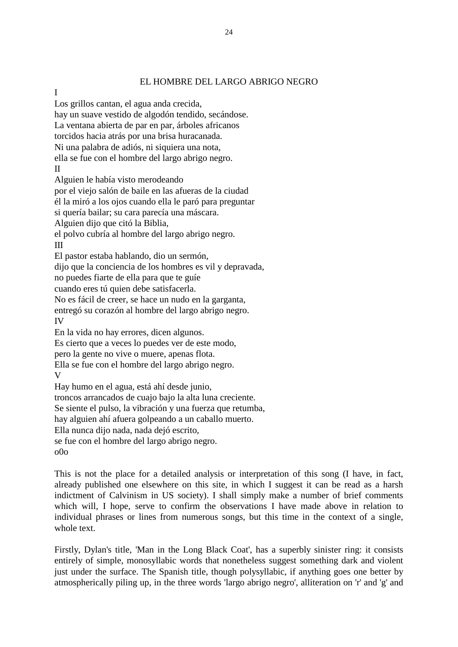## EL HOMBRE DEL LARGO ABRIGO NEGRO

I

Los grillos cantan, el agua anda crecida,

hay un suave vestido de algodón tendido, secándose.

La ventana abierta de par en par, árboles africanos

torcidos hacia atrás por una brisa huracanada.

Ni una palabra de adiós, ni siquiera una nota,

ella se fue con el hombre del largo abrigo negro.

II

Alguien le había visto merodeando

por el viejo salón de baile en las afueras de la ciudad

él la miró a los ojos cuando ella le paró para preguntar

si quería bailar; su cara parecía una máscara.

Alguien dijo que citó la Biblia,

el polvo cubría al hombre del largo abrigo negro.

III

El pastor estaba hablando, dio un sermón,

dijo que la conciencia de los hombres es vil y depravada,

no puedes fiarte de ella para que te guíe

cuando eres tú quien debe satisfacerla.

No es fácil de creer, se hace un nudo en la garganta,

entregó su corazón al hombre del largo abrigo negro. IV

En la vida no hay errores, dicen algunos.

Es cierto que a veces lo puedes ver de este modo,

pero la gente no vive o muere, apenas flota.

Ella se fue con el hombre del largo abrigo negro. V

Hay humo en el agua, está ahí desde junio,

troncos arrancados de cuajo bajo la alta luna creciente.

Se siente el pulso, la vibración y una fuerza que retumba,

hay alguien ahí afuera golpeando a un caballo muerto.

Ella nunca dijo nada, nada dejó escrito,

se fue con el hombre del largo abrigo negro.

o0o

This is not the place for a detailed analysis or interpretation of this song (I have, in fact, already published one elsewhere on this site, in which I suggest it can be read as a harsh indictment of Calvinism in US society). I shall simply make a number of brief comments which will, I hope, serve to confirm the observations I have made above in relation to individual phrases or lines from numerous songs, but this time in the context of a single, whole text.

Firstly, Dylan's title, 'Man in the Long Black Coat', has a superbly sinister ring: it consists entirely of simple, monosyllabic words that nonetheless suggest something dark and violent just under the surface. The Spanish title, though polysyllabic, if anything goes one better by atmospherically piling up, in the three words 'largo abrigo negro', alliteration on 'r' and 'g' and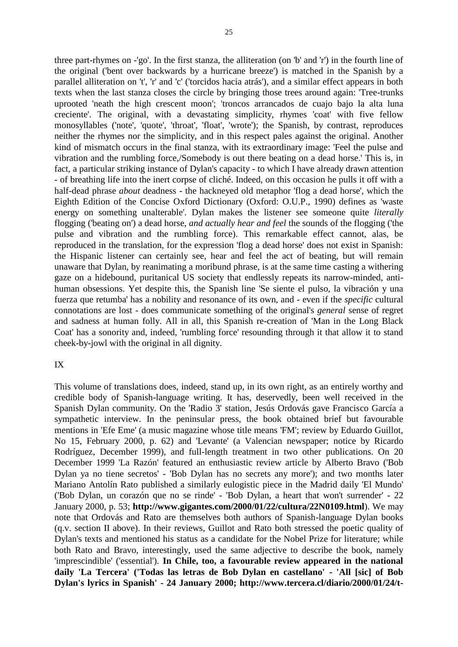three part-rhymes on -'go'. In the first stanza, the alliteration (on 'b' and 'r') in the fourth line of the original ('bent over backwards by a hurricane breeze') is matched in the Spanish by a parallel alliteration on 't', 'r' and 'c' ('torcidos hacia atrás'), and a similar effect appears in both texts when the last stanza closes the circle by bringing those trees around again: 'Tree-trunks uprooted 'neath the high crescent moon'; 'troncos arrancados de cuajo bajo la alta luna creciente'. The original, with a devastating simplicity, rhymes 'coat' with five fellow monosyllables ('note', 'quote', 'throat', 'float', 'wrote'); the Spanish, by contrast, reproduces neither the rhymes nor the simplicity, and in this respect pales against the original. Another kind of mismatch occurs in the final stanza, with its extraordinary image: 'Feel the pulse and vibration and the rumbling force,/Somebody is out there beating on a dead horse.' This is, in fact, a particular striking instance of Dylan's capacity - to which I have already drawn attention - of breathing life into the inert corpse of cliché. Indeed, on this occasion he pulls it off with a half-dead phrase *about* deadness - the hackneyed old metaphor 'flog a dead horse', which the Eighth Edition of the Concise Oxford Dictionary (Oxford: O.U.P., 1990) defines as 'waste energy on something unalterable'. Dylan makes the listener see someone quite *literally*  flogging ('beating on') a dead horse, *and actually hear and feel* the sounds of the flogging ('the pulse and vibration and the rumbling force). This remarkable effect cannot, alas, be reproduced in the translation, for the expression 'flog a dead horse' does not exist in Spanish: the Hispanic listener can certainly see, hear and feel the act of beating, but will remain unaware that Dylan, by reanimating a moribund phrase, is at the same time casting a withering gaze on a hidebound, puritanical US society that endlessly repeats its narrow-minded, antihuman obsessions. Yet despite this, the Spanish line 'Se siente el pulso, la vibración y una fuerza que retumba' has a nobility and resonance of its own, and - even if the *specific* cultural connotations are lost - does communicate something of the original's *general* sense of regret and sadness at human folly. All in all, this Spanish re-creation of 'Man in the Long Black Coat' has a sonority and, indeed, 'rumbling force' resounding through it that allow it to stand cheek-by-jowl with the original in all dignity.

## IX

This volume of translations does, indeed, stand up, in its own right, as an entirely worthy and credible body of Spanish-language writing. It has, deservedly, been well received in the Spanish Dylan community. On the 'Radio 3' station, Jesús Ordovás gave Francisco García a sympathetic interview. In the peninsular press, the book obtained brief but favourable mentions in 'Efe Eme' (a music magazine whose title means 'FM'; review by Eduardo Guillot, No 15, February 2000, p. 62) and 'Levante' (a Valencian newspaper; notice by Ricardo Rodríguez, December 1999), and full-length treatment in two other publications. On 20 December 1999 'La Razón' featured an enthusiastic review article by Alberto Bravo ('Bob Dylan ya no tiene secretos' - 'Bob Dylan has no secrets any more'); and two months later Mariano Antolín Rato published a similarly eulogistic piece in the Madrid daily 'El Mundo' ('Bob Dylan, un corazón que no se rinde' - 'Bob Dylan, a heart that won't surrender' - 22 January 2000, p. 53; **http://www.gigantes.com/2000/01/22/cultura/22N0109.html**). We may note that Ordovás and Rato are themselves both authors of Spanish-language Dylan books (q.v. section II above). In their reviews, Guillot and Rato both stressed the poetic quality of Dylan's texts and mentioned his status as a candidate for the Nobel Prize for literature; while both Rato and Bravo, interestingly, used the same adjective to describe the book, namely 'imprescindible' ('essential'). **In Chile, too, a favourable review appeared in the national daily 'La Tercera' ('Todas las letras de Bob Dylan en castellano' - 'All [sic] of Bob Dylan's lyrics in Spanish' - 24 January 2000; http://www.tercera.cl/diario/2000/01/24/t-**